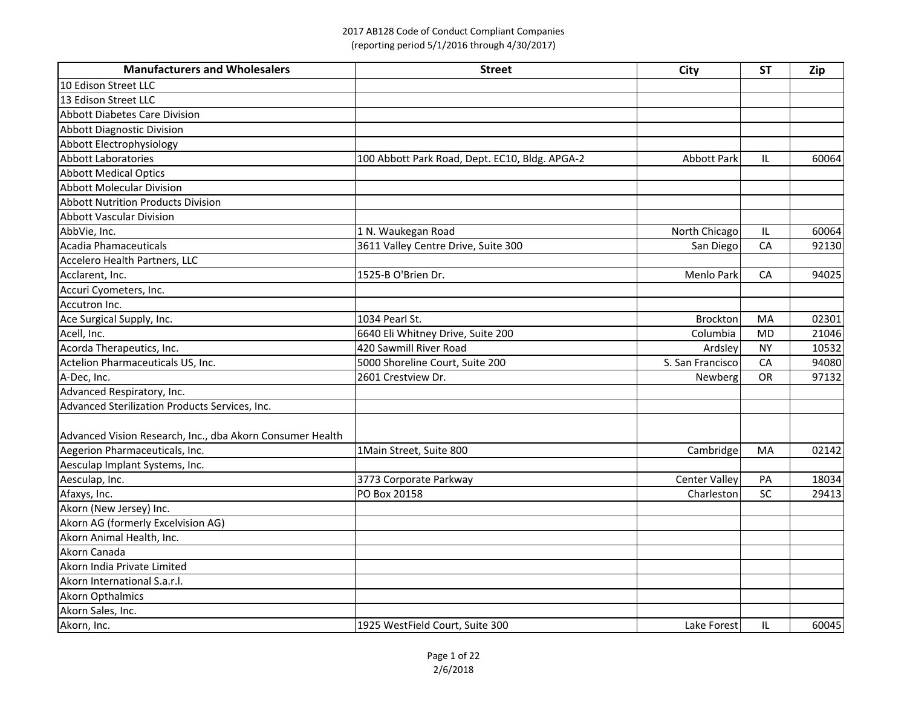## 2017 AB128 Code of Conduct Compliant Companies (reporting period 5/1/2016 through 4/30/2017)

| <b>Manufacturers and Wholesalers</b>                      | <b>Street</b>                                  | City                 | <b>ST</b> | Zip   |
|-----------------------------------------------------------|------------------------------------------------|----------------------|-----------|-------|
| 10 Edison Street LLC                                      |                                                |                      |           |       |
| 13 Edison Street LLC                                      |                                                |                      |           |       |
| <b>Abbott Diabetes Care Division</b>                      |                                                |                      |           |       |
| <b>Abbott Diagnostic Division</b>                         |                                                |                      |           |       |
| Abbott Electrophysiology                                  |                                                |                      |           |       |
| <b>Abbott Laboratories</b>                                | 100 Abbott Park Road, Dept. EC10, Bldg. APGA-2 | <b>Abbott Park</b>   | IL        | 60064 |
| <b>Abbott Medical Optics</b>                              |                                                |                      |           |       |
| <b>Abbott Molecular Division</b>                          |                                                |                      |           |       |
| <b>Abbott Nutrition Products Division</b>                 |                                                |                      |           |       |
| <b>Abbott Vascular Division</b>                           |                                                |                      |           |       |
| AbbVie, Inc.                                              | 1 N. Waukegan Road                             | North Chicago        | IL.       | 60064 |
| Acadia Phamaceuticals                                     | 3611 Valley Centre Drive, Suite 300            | San Diego            | CA        | 92130 |
| Accelero Health Partners, LLC                             |                                                |                      |           |       |
| Acclarent, Inc.                                           | 1525-B O'Brien Dr.                             | Menlo Park           | CA        | 94025 |
| Accuri Cyometers, Inc.                                    |                                                |                      |           |       |
| Accutron Inc.                                             |                                                |                      |           |       |
| Ace Surgical Supply, Inc.                                 | 1034 Pearl St.                                 | <b>Brockton</b>      | MA        | 02301 |
| Acell, Inc.                                               | 6640 Eli Whitney Drive, Suite 200              | Columbia             | <b>MD</b> | 21046 |
| Acorda Therapeutics, Inc.                                 | 420 Sawmill River Road                         | Ardsley              | <b>NY</b> | 10532 |
| Actelion Pharmaceuticals US, Inc.                         | 5000 Shoreline Court, Suite 200                | S. San Francisco     | CA        | 94080 |
| A-Dec, Inc.                                               | 2601 Crestview Dr.                             | Newberg              | <b>OR</b> | 97132 |
| Advanced Respiratory, Inc.                                |                                                |                      |           |       |
| Advanced Sterilization Products Services, Inc.            |                                                |                      |           |       |
|                                                           |                                                |                      |           |       |
| Advanced Vision Research, Inc., dba Akorn Consumer Health |                                                |                      |           |       |
| Aegerion Pharmaceuticals, Inc.                            | 1Main Street, Suite 800                        | Cambridge            | MA        | 02142 |
| Aesculap Implant Systems, Inc.                            |                                                |                      |           |       |
| Aesculap, Inc.                                            | 3773 Corporate Parkway                         | <b>Center Valley</b> | PA        | 18034 |
| Afaxys, Inc.                                              | PO Box 20158                                   | Charleston           | SC        | 29413 |
| Akorn (New Jersey) Inc.                                   |                                                |                      |           |       |
| Akorn AG (formerly Excelvision AG)                        |                                                |                      |           |       |
| Akorn Animal Health, Inc.                                 |                                                |                      |           |       |
| Akorn Canada                                              |                                                |                      |           |       |
| Akorn India Private Limited                               |                                                |                      |           |       |
| Akorn International S.a.r.l.                              |                                                |                      |           |       |
| <b>Akorn Opthalmics</b>                                   |                                                |                      |           |       |
| Akorn Sales, Inc.                                         |                                                |                      |           |       |
| Akorn, Inc.                                               | 1925 WestField Court, Suite 300                | Lake Forest          | IL.       | 60045 |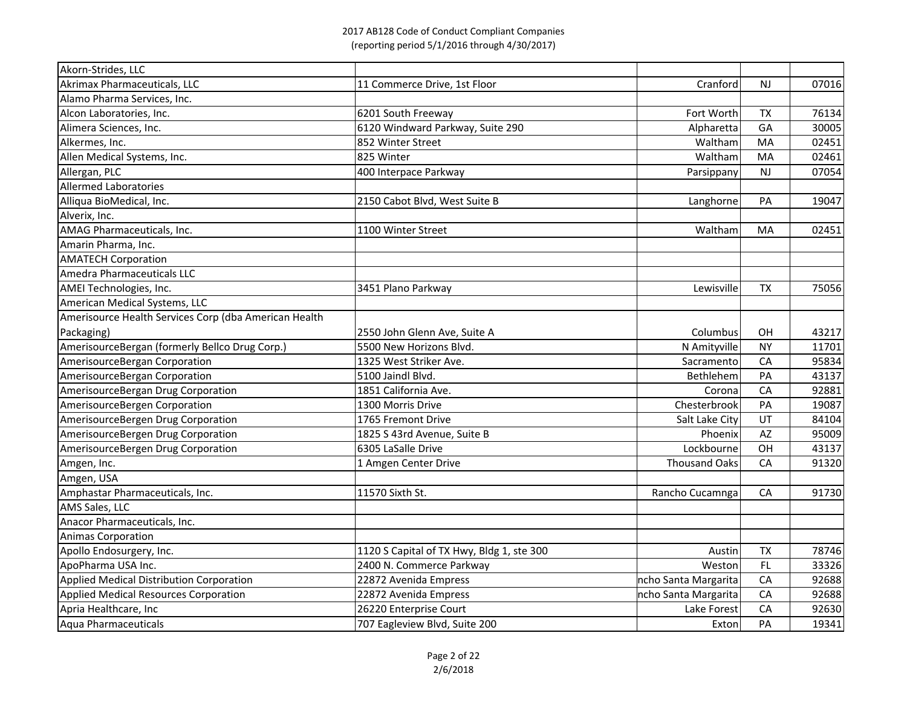| Akorn-Strides, LLC                                    |                                           |                      |           |       |
|-------------------------------------------------------|-------------------------------------------|----------------------|-----------|-------|
| Akrimax Pharmaceuticals, LLC                          | 11 Commerce Drive, 1st Floor              | Cranford             | <b>NJ</b> | 07016 |
| Alamo Pharma Services, Inc.                           |                                           |                      |           |       |
| Alcon Laboratories, Inc.                              | 6201 South Freeway                        | Fort Worth           | <b>TX</b> | 76134 |
| Alimera Sciences, Inc.                                | 6120 Windward Parkway, Suite 290          | Alpharetta           | GA        | 30005 |
| Alkermes, Inc.                                        | 852 Winter Street                         | Waltham              | MA        | 02451 |
| Allen Medical Systems, Inc.                           | 825 Winter                                | Waltham              | MA        | 02461 |
| Allergan, PLC                                         | 400 Interpace Parkway                     | Parsippany           | NJ        | 07054 |
| <b>Allermed Laboratories</b>                          |                                           |                      |           |       |
| Alliqua BioMedical, Inc.                              | 2150 Cabot Blvd, West Suite B             | Langhorne            | PA        | 19047 |
| Alverix, Inc.                                         |                                           |                      |           |       |
| AMAG Pharmaceuticals, Inc.                            | 1100 Winter Street                        | Waltham              | MA        | 02451 |
| Amarin Pharma, Inc.                                   |                                           |                      |           |       |
| <b>AMATECH Corporation</b>                            |                                           |                      |           |       |
| Amedra Pharmaceuticals LLC                            |                                           |                      |           |       |
| AMEI Technologies, Inc.                               | 3451 Plano Parkway                        | Lewisville           | <b>TX</b> | 75056 |
| American Medical Systems, LLC                         |                                           |                      |           |       |
| Amerisource Health Services Corp (dba American Health |                                           |                      |           |       |
| Packaging)                                            | 2550 John Glenn Ave, Suite A              | Columbus             | OH        | 43217 |
| AmerisourceBergan (formerly Bellco Drug Corp.)        | 5500 New Horizons Blvd.                   | N Amityville         | <b>NY</b> | 11701 |
| AmerisourceBergan Corporation                         | 1325 West Striker Ave.                    | Sacramento           | <b>CA</b> | 95834 |
| AmerisourceBergan Corporation                         | 5100 Jaindl Blvd.                         | Bethlehem            | PA        | 43137 |
| AmerisourceBergan Drug Corporation                    | 1851 California Ave.                      | Corona               | CA        | 92881 |
| AmerisourceBergen Corporation                         | 1300 Morris Drive                         | Chesterbrook         | PA        | 19087 |
| AmerisourceBergen Drug Corporation                    | 1765 Fremont Drive                        | Salt Lake City       | UT        | 84104 |
| AmerisourceBergen Drug Corporation                    | 1825 S 43rd Avenue, Suite B               | Phoenix              | <b>AZ</b> | 95009 |
| AmerisourceBergen Drug Corporation                    | 6305 LaSalle Drive                        | Lockbourne           | OH        | 43137 |
| Amgen, Inc.                                           | 1 Amgen Center Drive                      | <b>Thousand Oaks</b> | CA        | 91320 |
| Amgen, USA                                            |                                           |                      |           |       |
| Amphastar Pharmaceuticals, Inc.                       | 11570 Sixth St.                           | Rancho Cucamnga      | CA        | 91730 |
| AMS Sales, LLC                                        |                                           |                      |           |       |
| Anacor Pharmaceuticals, Inc.                          |                                           |                      |           |       |
| <b>Animas Corporation</b>                             |                                           |                      |           |       |
| Apollo Endosurgery, Inc.                              | 1120 S Capital of TX Hwy, Bldg 1, ste 300 | Austin               | <b>TX</b> | 78746 |
| ApoPharma USA Inc.                                    | 2400 N. Commerce Parkway                  | Weston               | FL.       | 33326 |
| Applied Medical Distribution Corporation              | 22872 Avenida Empress                     | ncho Santa Margarita | CA        | 92688 |
| Applied Medical Resources Corporation                 | 22872 Avenida Empress                     | ncho Santa Margarita | CA        | 92688 |
| Apria Healthcare, Inc                                 | 26220 Enterprise Court                    | Lake Forest          | CA        | 92630 |
| Aqua Pharmaceuticals                                  | 707 Eagleview Blvd, Suite 200             | Exton                | PA        | 19341 |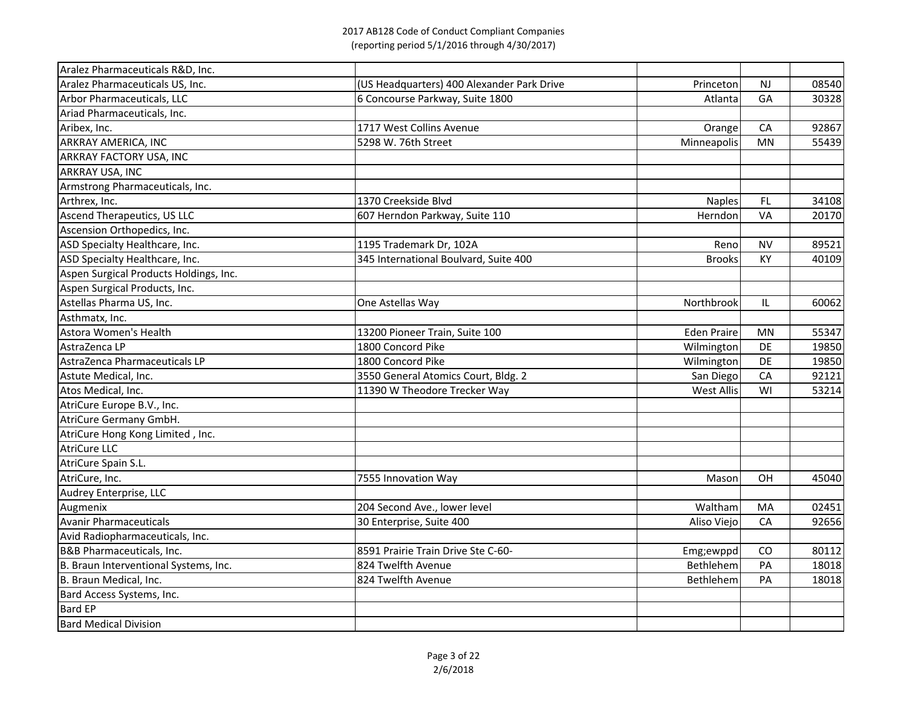| Aralez Pharmaceuticals R&D, Inc.       |                                            |                    |           |       |
|----------------------------------------|--------------------------------------------|--------------------|-----------|-------|
| Aralez Pharmaceuticals US, Inc.        | (US Headquarters) 400 Alexander Park Drive | Princeton          | <b>NJ</b> | 08540 |
| Arbor Pharmaceuticals, LLC             | 6 Concourse Parkway, Suite 1800            | Atlantal           | GA        | 30328 |
| Ariad Pharmaceuticals, Inc.            |                                            |                    |           |       |
| Aribex, Inc.                           | 1717 West Collins Avenue                   | Orange             | CA        | 92867 |
| <b>ARKRAY AMERICA, INC</b>             | 5298 W. 76th Street                        | Minneapolis        | MN        | 55439 |
| <b>ARKRAY FACTORY USA, INC</b>         |                                            |                    |           |       |
| <b>ARKRAY USA, INC</b>                 |                                            |                    |           |       |
| Armstrong Pharmaceuticals, Inc.        |                                            |                    |           |       |
| Arthrex, Inc.                          | 1370 Creekside Blvd                        | <b>Naples</b>      | FL.       | 34108 |
| <b>Ascend Therapeutics, US LLC</b>     | 607 Herndon Parkway, Suite 110             | Herndon            | VA        | 20170 |
| Ascension Orthopedics, Inc.            |                                            |                    |           |       |
| ASD Specialty Healthcare, Inc.         | 1195 Trademark Dr, 102A                    | Reno               | <b>NV</b> | 89521 |
| ASD Specialty Healthcare, Inc.         | 345 International Boulvard, Suite 400      | <b>Brooks</b>      | KY        | 40109 |
| Aspen Surgical Products Holdings, Inc. |                                            |                    |           |       |
| Aspen Surgical Products, Inc.          |                                            |                    |           |       |
| Astellas Pharma US, Inc.               | One Astellas Way                           | Northbrook         | IL        | 60062 |
| Asthmatx, Inc.                         |                                            |                    |           |       |
| Astora Women's Health                  | 13200 Pioneer Train, Suite 100             | <b>Eden Praire</b> | <b>MN</b> | 55347 |
| AstraZenca LP                          | 1800 Concord Pike                          | Wilmington         | DE        | 19850 |
| AstraZenca Pharmaceuticals LP          | 1800 Concord Pike                          | Wilmington         | DE        | 19850 |
| Astute Medical, Inc.                   | 3550 General Atomics Court, Bldg. 2        | San Diego          | CA        | 92121 |
| Atos Medical, Inc.                     | 11390 W Theodore Trecker Way               | <b>West Allis</b>  | WI        | 53214 |
| AtriCure Europe B.V., Inc.             |                                            |                    |           |       |
| AtriCure Germany GmbH.                 |                                            |                    |           |       |
| AtriCure Hong Kong Limited, Inc.       |                                            |                    |           |       |
| <b>AtriCure LLC</b>                    |                                            |                    |           |       |
| AtriCure Spain S.L.                    |                                            |                    |           |       |
| AtriCure, Inc.                         | 7555 Innovation Way                        | Mason              | OH        | 45040 |
| Audrey Enterprise, LLC                 |                                            |                    |           |       |
| Augmenix                               | 204 Second Ave., lower level               | Waltham            | MA        | 02451 |
| <b>Avanir Pharmaceuticals</b>          | 30 Enterprise, Suite 400                   | Aliso Viejo        | CA        | 92656 |
| Avid Radiopharmaceuticals, Inc.        |                                            |                    |           |       |
| <b>B&amp;B Pharmaceuticals, Inc.</b>   | 8591 Prairie Train Drive Ste C-60-         | Emg;ewppd          | CO        | 80112 |
| B. Braun Interventional Systems, Inc.  | 824 Twelfth Avenue                         | Bethlehem          | PA        | 18018 |
| B. Braun Medical, Inc.                 | 824 Twelfth Avenue                         | Bethlehem          | PA        | 18018 |
| Bard Access Systems, Inc.              |                                            |                    |           |       |
| <b>Bard EP</b>                         |                                            |                    |           |       |
| <b>Bard Medical Division</b>           |                                            |                    |           |       |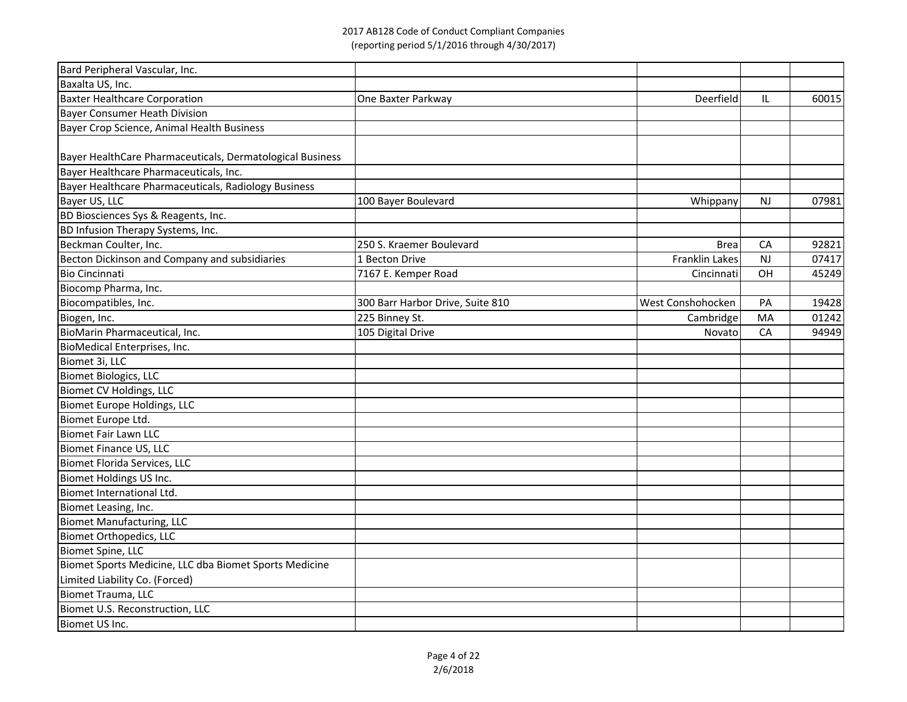| Bard Peripheral Vascular, Inc.                            |                                  |                   |           |       |
|-----------------------------------------------------------|----------------------------------|-------------------|-----------|-------|
| Baxalta US, Inc.                                          |                                  |                   |           |       |
| <b>Baxter Healthcare Corporation</b>                      | One Baxter Parkway               | Deerfield         | IL        | 60015 |
| <b>Bayer Consumer Heath Division</b>                      |                                  |                   |           |       |
| Bayer Crop Science, Animal Health Business                |                                  |                   |           |       |
|                                                           |                                  |                   |           |       |
| Bayer HealthCare Pharmaceuticals, Dermatological Business |                                  |                   |           |       |
| Bayer Healthcare Pharmaceuticals, Inc.                    |                                  |                   |           |       |
| Bayer Healthcare Pharmaceuticals, Radiology Business      |                                  |                   |           |       |
| Bayer US, LLC                                             | 100 Bayer Boulevard              | Whippany          | <b>NJ</b> | 07981 |
| <b>BD Biosciences Sys &amp; Reagents, Inc.</b>            |                                  |                   |           |       |
| BD Infusion Therapy Systems, Inc.                         |                                  |                   |           |       |
| Beckman Coulter, Inc.                                     | 250 S. Kraemer Boulevard         | <b>Brea</b>       | CA        | 92821 |
| Becton Dickinson and Company and subsidiaries             | 1 Becton Drive                   | Franklin Lakes    | <b>NJ</b> | 07417 |
| <b>Bio Cincinnati</b>                                     | 7167 E. Kemper Road              | Cincinnati        | OH        | 45249 |
| Biocomp Pharma, Inc.                                      |                                  |                   |           |       |
| Biocompatibles, Inc.                                      | 300 Barr Harbor Drive, Suite 810 | West Conshohocken | PA        | 19428 |
| Biogen, Inc.                                              | 225 Binney St.                   | Cambridge         | MA        | 01242 |
| BioMarin Pharmaceutical, Inc.                             | 105 Digital Drive                | Novato            | CA        | 94949 |
| BioMedical Enterprises, Inc.                              |                                  |                   |           |       |
| Biomet 3i, LLC                                            |                                  |                   |           |       |
| Biomet Biologics, LLC                                     |                                  |                   |           |       |
| Biomet CV Holdings, LLC                                   |                                  |                   |           |       |
| Biomet Europe Holdings, LLC                               |                                  |                   |           |       |
| Biomet Europe Ltd.                                        |                                  |                   |           |       |
| Biomet Fair Lawn LLC                                      |                                  |                   |           |       |
| <b>Biomet Finance US, LLC</b>                             |                                  |                   |           |       |
| Biomet Florida Services, LLC                              |                                  |                   |           |       |
| Biomet Holdings US Inc.                                   |                                  |                   |           |       |
| Biomet International Ltd.                                 |                                  |                   |           |       |
| Biomet Leasing, Inc.                                      |                                  |                   |           |       |
| <b>Biomet Manufacturing, LLC</b>                          |                                  |                   |           |       |
| <b>Biomet Orthopedics, LLC</b>                            |                                  |                   |           |       |
| Biomet Spine, LLC                                         |                                  |                   |           |       |
| Biomet Sports Medicine, LLC dba Biomet Sports Medicine    |                                  |                   |           |       |
| Limited Liability Co. (Forced)                            |                                  |                   |           |       |
| Biomet Trauma, LLC                                        |                                  |                   |           |       |
| Biomet U.S. Reconstruction, LLC                           |                                  |                   |           |       |
| Biomet US Inc.                                            |                                  |                   |           |       |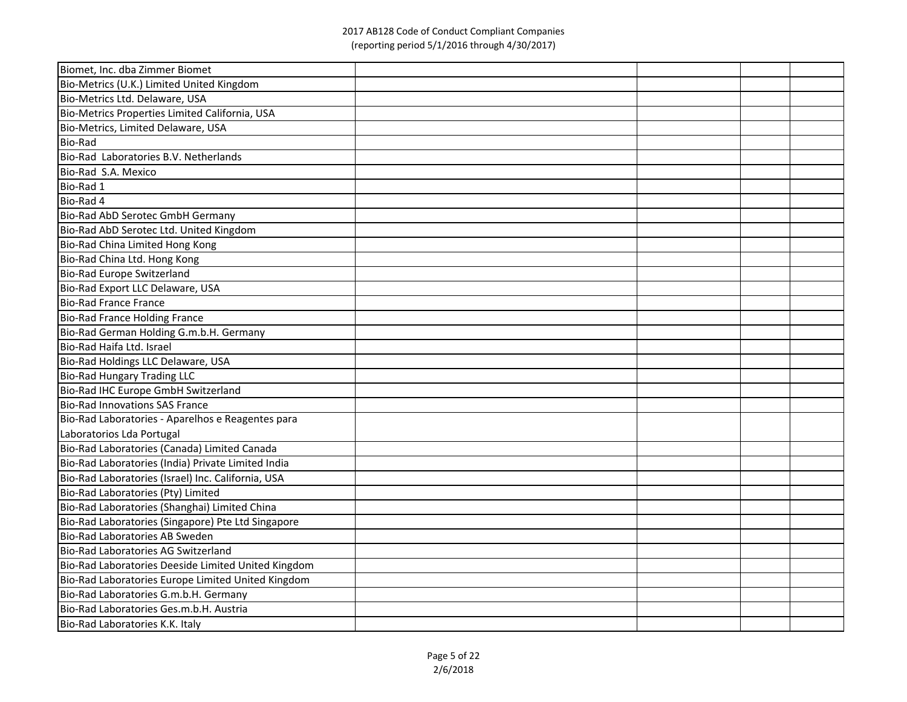| Biomet, Inc. dba Zimmer Biomet                      |  |  |
|-----------------------------------------------------|--|--|
| Bio-Metrics (U.K.) Limited United Kingdom           |  |  |
| Bio-Metrics Ltd. Delaware, USA                      |  |  |
| Bio-Metrics Properties Limited California, USA      |  |  |
| Bio-Metrics, Limited Delaware, USA                  |  |  |
| <b>Bio-Rad</b>                                      |  |  |
| Bio-Rad Laboratories B.V. Netherlands               |  |  |
| Bio-Rad S.A. Mexico                                 |  |  |
| Bio-Rad 1                                           |  |  |
| Bio-Rad 4                                           |  |  |
| Bio-Rad AbD Serotec GmbH Germany                    |  |  |
| Bio-Rad AbD Serotec Ltd. United Kingdom             |  |  |
| Bio-Rad China Limited Hong Kong                     |  |  |
| Bio-Rad China Ltd. Hong Kong                        |  |  |
| Bio-Rad Europe Switzerland                          |  |  |
| Bio-Rad Export LLC Delaware, USA                    |  |  |
| Bio-Rad France France                               |  |  |
| Bio-Rad France Holding France                       |  |  |
| Bio-Rad German Holding G.m.b.H. Germany             |  |  |
| Bio-Rad Haifa Ltd. Israel                           |  |  |
| Bio-Rad Holdings LLC Delaware, USA                  |  |  |
| <b>Bio-Rad Hungary Trading LLC</b>                  |  |  |
| Bio-Rad IHC Europe GmbH Switzerland                 |  |  |
| <b>Bio-Rad Innovations SAS France</b>               |  |  |
| Bio-Rad Laboratories - Aparelhos e Reagentes para   |  |  |
| Laboratorios Lda Portugal                           |  |  |
| Bio-Rad Laboratories (Canada) Limited Canada        |  |  |
| Bio-Rad Laboratories (India) Private Limited India  |  |  |
| Bio-Rad Laboratories (Israel) Inc. California, USA  |  |  |
| Bio-Rad Laboratories (Pty) Limited                  |  |  |
| Bio-Rad Laboratories (Shanghai) Limited China       |  |  |
| Bio-Rad Laboratories (Singapore) Pte Ltd Singapore  |  |  |
| Bio-Rad Laboratories AB Sweden                      |  |  |
| Bio-Rad Laboratories AG Switzerland                 |  |  |
| Bio-Rad Laboratories Deeside Limited United Kingdom |  |  |
| Bio-Rad Laboratories Europe Limited United Kingdom  |  |  |
| Bio-Rad Laboratories G.m.b.H. Germany               |  |  |
| Bio-Rad Laboratories Ges.m.b.H. Austria             |  |  |
| Bio-Rad Laboratories K.K. Italy                     |  |  |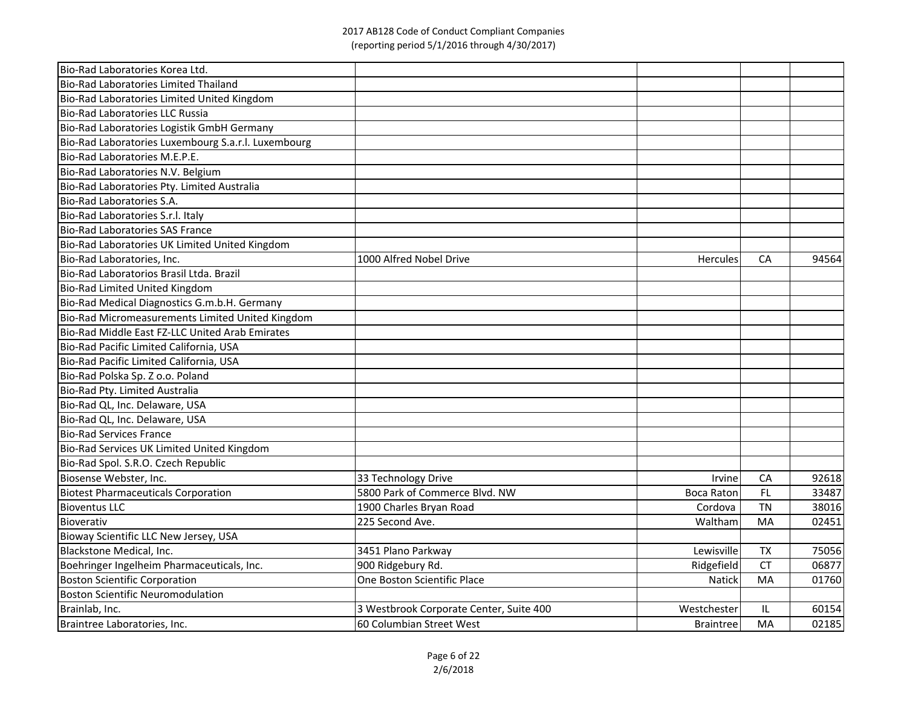| Bio-Rad Laboratories Korea Ltd.                     |                                         |                   |           |       |
|-----------------------------------------------------|-----------------------------------------|-------------------|-----------|-------|
| Bio-Rad Laboratories Limited Thailand               |                                         |                   |           |       |
| Bio-Rad Laboratories Limited United Kingdom         |                                         |                   |           |       |
| Bio-Rad Laboratories LLC Russia                     |                                         |                   |           |       |
| Bio-Rad Laboratories Logistik GmbH Germany          |                                         |                   |           |       |
| Bio-Rad Laboratories Luxembourg S.a.r.l. Luxembourg |                                         |                   |           |       |
| Bio-Rad Laboratories M.E.P.E.                       |                                         |                   |           |       |
| Bio-Rad Laboratories N.V. Belgium                   |                                         |                   |           |       |
| Bio-Rad Laboratories Pty. Limited Australia         |                                         |                   |           |       |
| Bio-Rad Laboratories S.A.                           |                                         |                   |           |       |
| Bio-Rad Laboratories S.r.l. Italy                   |                                         |                   |           |       |
| <b>Bio-Rad Laboratories SAS France</b>              |                                         |                   |           |       |
| Bio-Rad Laboratories UK Limited United Kingdom      |                                         |                   |           |       |
| Bio-Rad Laboratories, Inc.                          | 1000 Alfred Nobel Drive                 | Hercules          | <b>CA</b> | 94564 |
| Bio-Rad Laboratorios Brasil Ltda. Brazil            |                                         |                   |           |       |
| Bio-Rad Limited United Kingdom                      |                                         |                   |           |       |
| Bio-Rad Medical Diagnostics G.m.b.H. Germany        |                                         |                   |           |       |
| Bio-Rad Micromeasurements Limited United Kingdom    |                                         |                   |           |       |
| Bio-Rad Middle East FZ-LLC United Arab Emirates     |                                         |                   |           |       |
| Bio-Rad Pacific Limited California, USA             |                                         |                   |           |       |
| Bio-Rad Pacific Limited California, USA             |                                         |                   |           |       |
| Bio-Rad Polska Sp. Z o.o. Poland                    |                                         |                   |           |       |
| Bio-Rad Pty. Limited Australia                      |                                         |                   |           |       |
| Bio-Rad QL, Inc. Delaware, USA                      |                                         |                   |           |       |
| Bio-Rad QL, Inc. Delaware, USA                      |                                         |                   |           |       |
| <b>Bio-Rad Services France</b>                      |                                         |                   |           |       |
| Bio-Rad Services UK Limited United Kingdom          |                                         |                   |           |       |
| Bio-Rad Spol. S.R.O. Czech Republic                 |                                         |                   |           |       |
| Biosense Webster, Inc.                              | 33 Technology Drive                     | Irvine            | <b>CA</b> | 92618 |
| <b>Biotest Pharmaceuticals Corporation</b>          | 5800 Park of Commerce Blvd. NW          | <b>Boca Raton</b> | FL.       | 33487 |
| <b>Bioventus LLC</b>                                | 1900 Charles Bryan Road                 | Cordova           | TN        | 38016 |
| Bioverativ                                          | 225 Second Ave.                         | Waltham           | MA        | 02451 |
| Bioway Scientific LLC New Jersey, USA               |                                         |                   |           |       |
| Blackstone Medical, Inc.                            | 3451 Plano Parkway                      | Lewisville        | <b>TX</b> | 75056 |
| Boehringer Ingelheim Pharmaceuticals, Inc.          | 900 Ridgebury Rd.                       | Ridgefield        | <b>CT</b> | 06877 |
| <b>Boston Scientific Corporation</b>                | One Boston Scientific Place             | <b>Natick</b>     | MA        | 01760 |
| <b>Boston Scientific Neuromodulation</b>            |                                         |                   |           |       |
| Brainlab, Inc.                                      | 3 Westbrook Corporate Center, Suite 400 | Westchester       | IL        | 60154 |
| Braintree Laboratories, Inc.                        | 60 Columbian Street West                | Braintree         | MA        | 02185 |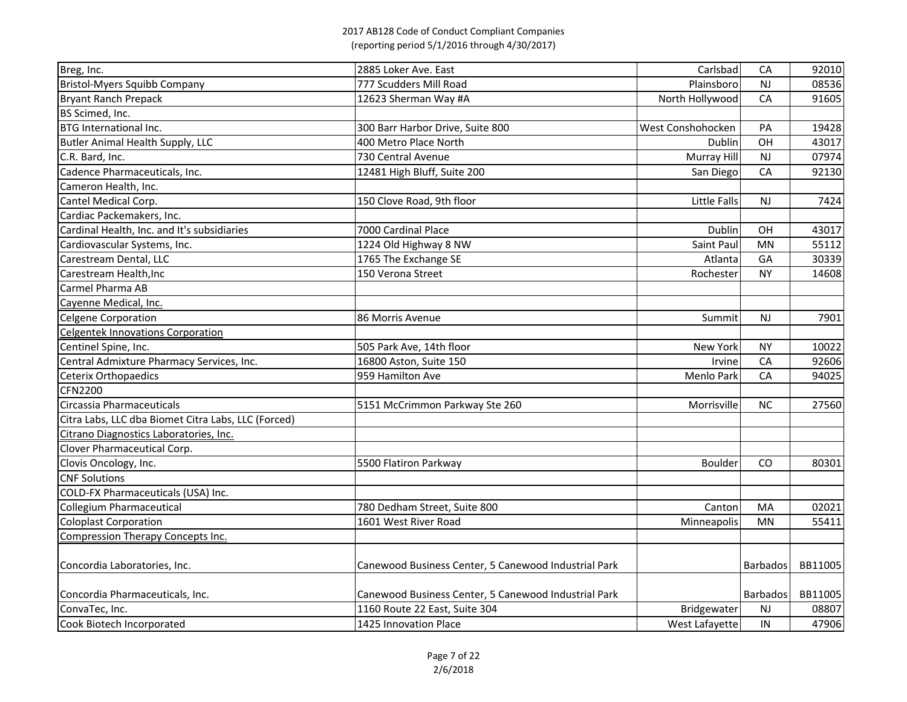| 777 Scudders Mill Road<br>Plainsboro<br>08536<br><b>NJ</b><br>North Hollywood<br>CA<br>12623 Sherman Way #A<br>91605<br>300 Barr Harbor Drive, Suite 800<br>West Conshohocken<br>19428<br>PA<br>400 Metro Place North<br>OH<br>Dublin<br>43017<br>730 Central Avenue<br>Murray Hill<br><b>NJ</b><br>07974<br>12481 High Bluff, Suite 200<br>San Diego<br>CA<br>92130<br>150 Clove Road, 9th floor<br>Little Falls<br><b>NJ</b><br>7424<br>7000 Cardinal Place<br>Dublin<br>OH<br>43017<br>1224 Old Highway 8 NW<br>Saint Paul<br><b>MN</b><br>55112<br>1765 The Exchange SE<br>Atlanta<br>GA<br>30339<br>150 Verona Street<br>Rochester<br><b>NY</b><br>14608<br>86 Morris Avenue<br><b>NJ</b><br>7901<br>Summit<br>505 Park Ave, 14th floor<br><b>New York</b><br><b>NY</b><br>10022<br>16800 Aston, Suite 150<br>92606<br>Irvine<br>CA<br>959 Hamilton Ave<br>CA<br>94025<br>Menlo Park<br>27560<br>5151 McCrimmon Parkway Ste 260<br><b>NC</b><br>Morrisville<br>5500 Flatiron Parkway<br><b>Boulder</b><br><b>CO</b><br>80301<br>780 Dedham Street, Suite 800<br>02021<br>Canton<br>MA<br>1601 West River Road<br><b>MN</b><br>55411<br>Minneapolis<br>Canewood Business Center, 5 Canewood Industrial Park<br>BB11005<br><b>Barbados</b><br>Canewood Business Center, 5 Canewood Industrial Park<br>Barbados<br>Concordia Pharmaceuticals, Inc.<br>BB11005<br>1160 Route 22 East, Suite 304<br><b>NJ</b><br>08807<br>ConvaTec, Inc.<br>Bridgewater | Breg, Inc.                                          | 2885 Loker Ave. East  | Carlsbad       | CA | 92010 |
|---------------------------------------------------------------------------------------------------------------------------------------------------------------------------------------------------------------------------------------------------------------------------------------------------------------------------------------------------------------------------------------------------------------------------------------------------------------------------------------------------------------------------------------------------------------------------------------------------------------------------------------------------------------------------------------------------------------------------------------------------------------------------------------------------------------------------------------------------------------------------------------------------------------------------------------------------------------------------------------------------------------------------------------------------------------------------------------------------------------------------------------------------------------------------------------------------------------------------------------------------------------------------------------------------------------------------------------------------------------------------------------------------------------------------------------------------------|-----------------------------------------------------|-----------------------|----------------|----|-------|
|                                                                                                                                                                                                                                                                                                                                                                                                                                                                                                                                                                                                                                                                                                                                                                                                                                                                                                                                                                                                                                                                                                                                                                                                                                                                                                                                                                                                                                                         | <b>Bristol-Myers Squibb Company</b>                 |                       |                |    |       |
|                                                                                                                                                                                                                                                                                                                                                                                                                                                                                                                                                                                                                                                                                                                                                                                                                                                                                                                                                                                                                                                                                                                                                                                                                                                                                                                                                                                                                                                         | Bryant Ranch Prepack                                |                       |                |    |       |
|                                                                                                                                                                                                                                                                                                                                                                                                                                                                                                                                                                                                                                                                                                                                                                                                                                                                                                                                                                                                                                                                                                                                                                                                                                                                                                                                                                                                                                                         | BS Scimed, Inc.                                     |                       |                |    |       |
|                                                                                                                                                                                                                                                                                                                                                                                                                                                                                                                                                                                                                                                                                                                                                                                                                                                                                                                                                                                                                                                                                                                                                                                                                                                                                                                                                                                                                                                         | <b>BTG International Inc.</b>                       |                       |                |    |       |
|                                                                                                                                                                                                                                                                                                                                                                                                                                                                                                                                                                                                                                                                                                                                                                                                                                                                                                                                                                                                                                                                                                                                                                                                                                                                                                                                                                                                                                                         | Butler Animal Health Supply, LLC                    |                       |                |    |       |
|                                                                                                                                                                                                                                                                                                                                                                                                                                                                                                                                                                                                                                                                                                                                                                                                                                                                                                                                                                                                                                                                                                                                                                                                                                                                                                                                                                                                                                                         | C.R. Bard, Inc.                                     |                       |                |    |       |
|                                                                                                                                                                                                                                                                                                                                                                                                                                                                                                                                                                                                                                                                                                                                                                                                                                                                                                                                                                                                                                                                                                                                                                                                                                                                                                                                                                                                                                                         | Cadence Pharmaceuticals, Inc.                       |                       |                |    |       |
|                                                                                                                                                                                                                                                                                                                                                                                                                                                                                                                                                                                                                                                                                                                                                                                                                                                                                                                                                                                                                                                                                                                                                                                                                                                                                                                                                                                                                                                         | Cameron Health, Inc.                                |                       |                |    |       |
|                                                                                                                                                                                                                                                                                                                                                                                                                                                                                                                                                                                                                                                                                                                                                                                                                                                                                                                                                                                                                                                                                                                                                                                                                                                                                                                                                                                                                                                         | Cantel Medical Corp.                                |                       |                |    |       |
|                                                                                                                                                                                                                                                                                                                                                                                                                                                                                                                                                                                                                                                                                                                                                                                                                                                                                                                                                                                                                                                                                                                                                                                                                                                                                                                                                                                                                                                         | Cardiac Packemakers, Inc.                           |                       |                |    |       |
|                                                                                                                                                                                                                                                                                                                                                                                                                                                                                                                                                                                                                                                                                                                                                                                                                                                                                                                                                                                                                                                                                                                                                                                                                                                                                                                                                                                                                                                         | Cardinal Health, Inc. and It's subsidiaries         |                       |                |    |       |
|                                                                                                                                                                                                                                                                                                                                                                                                                                                                                                                                                                                                                                                                                                                                                                                                                                                                                                                                                                                                                                                                                                                                                                                                                                                                                                                                                                                                                                                         | Cardiovascular Systems, Inc.                        |                       |                |    |       |
|                                                                                                                                                                                                                                                                                                                                                                                                                                                                                                                                                                                                                                                                                                                                                                                                                                                                                                                                                                                                                                                                                                                                                                                                                                                                                                                                                                                                                                                         | Carestream Dental, LLC                              |                       |                |    |       |
|                                                                                                                                                                                                                                                                                                                                                                                                                                                                                                                                                                                                                                                                                                                                                                                                                                                                                                                                                                                                                                                                                                                                                                                                                                                                                                                                                                                                                                                         | Carestream Health, Inc                              |                       |                |    |       |
|                                                                                                                                                                                                                                                                                                                                                                                                                                                                                                                                                                                                                                                                                                                                                                                                                                                                                                                                                                                                                                                                                                                                                                                                                                                                                                                                                                                                                                                         | Carmel Pharma AB                                    |                       |                |    |       |
|                                                                                                                                                                                                                                                                                                                                                                                                                                                                                                                                                                                                                                                                                                                                                                                                                                                                                                                                                                                                                                                                                                                                                                                                                                                                                                                                                                                                                                                         | Cayenne Medical, Inc.                               |                       |                |    |       |
|                                                                                                                                                                                                                                                                                                                                                                                                                                                                                                                                                                                                                                                                                                                                                                                                                                                                                                                                                                                                                                                                                                                                                                                                                                                                                                                                                                                                                                                         | Celgene Corporation                                 |                       |                |    |       |
|                                                                                                                                                                                                                                                                                                                                                                                                                                                                                                                                                                                                                                                                                                                                                                                                                                                                                                                                                                                                                                                                                                                                                                                                                                                                                                                                                                                                                                                         | <b>Celgentek Innovations Corporation</b>            |                       |                |    |       |
|                                                                                                                                                                                                                                                                                                                                                                                                                                                                                                                                                                                                                                                                                                                                                                                                                                                                                                                                                                                                                                                                                                                                                                                                                                                                                                                                                                                                                                                         | Centinel Spine, Inc.                                |                       |                |    |       |
|                                                                                                                                                                                                                                                                                                                                                                                                                                                                                                                                                                                                                                                                                                                                                                                                                                                                                                                                                                                                                                                                                                                                                                                                                                                                                                                                                                                                                                                         | Central Admixture Pharmacy Services, Inc.           |                       |                |    |       |
|                                                                                                                                                                                                                                                                                                                                                                                                                                                                                                                                                                                                                                                                                                                                                                                                                                                                                                                                                                                                                                                                                                                                                                                                                                                                                                                                                                                                                                                         | <b>Ceterix Orthopaedics</b>                         |                       |                |    |       |
|                                                                                                                                                                                                                                                                                                                                                                                                                                                                                                                                                                                                                                                                                                                                                                                                                                                                                                                                                                                                                                                                                                                                                                                                                                                                                                                                                                                                                                                         | <b>CFN2200</b>                                      |                       |                |    |       |
|                                                                                                                                                                                                                                                                                                                                                                                                                                                                                                                                                                                                                                                                                                                                                                                                                                                                                                                                                                                                                                                                                                                                                                                                                                                                                                                                                                                                                                                         | Circassia Pharmaceuticals                           |                       |                |    |       |
|                                                                                                                                                                                                                                                                                                                                                                                                                                                                                                                                                                                                                                                                                                                                                                                                                                                                                                                                                                                                                                                                                                                                                                                                                                                                                                                                                                                                                                                         | Citra Labs, LLC dba Biomet Citra Labs, LLC (Forced) |                       |                |    |       |
|                                                                                                                                                                                                                                                                                                                                                                                                                                                                                                                                                                                                                                                                                                                                                                                                                                                                                                                                                                                                                                                                                                                                                                                                                                                                                                                                                                                                                                                         | Citrano Diagnostics Laboratories, Inc.              |                       |                |    |       |
|                                                                                                                                                                                                                                                                                                                                                                                                                                                                                                                                                                                                                                                                                                                                                                                                                                                                                                                                                                                                                                                                                                                                                                                                                                                                                                                                                                                                                                                         | Clover Pharmaceutical Corp.                         |                       |                |    |       |
|                                                                                                                                                                                                                                                                                                                                                                                                                                                                                                                                                                                                                                                                                                                                                                                                                                                                                                                                                                                                                                                                                                                                                                                                                                                                                                                                                                                                                                                         | Clovis Oncology, Inc.                               |                       |                |    |       |
|                                                                                                                                                                                                                                                                                                                                                                                                                                                                                                                                                                                                                                                                                                                                                                                                                                                                                                                                                                                                                                                                                                                                                                                                                                                                                                                                                                                                                                                         | <b>CNF Solutions</b>                                |                       |                |    |       |
|                                                                                                                                                                                                                                                                                                                                                                                                                                                                                                                                                                                                                                                                                                                                                                                                                                                                                                                                                                                                                                                                                                                                                                                                                                                                                                                                                                                                                                                         | COLD-FX Pharmaceuticals (USA) Inc.                  |                       |                |    |       |
|                                                                                                                                                                                                                                                                                                                                                                                                                                                                                                                                                                                                                                                                                                                                                                                                                                                                                                                                                                                                                                                                                                                                                                                                                                                                                                                                                                                                                                                         | Collegium Pharmaceutical                            |                       |                |    |       |
|                                                                                                                                                                                                                                                                                                                                                                                                                                                                                                                                                                                                                                                                                                                                                                                                                                                                                                                                                                                                                                                                                                                                                                                                                                                                                                                                                                                                                                                         | <b>Coloplast Corporation</b>                        |                       |                |    |       |
|                                                                                                                                                                                                                                                                                                                                                                                                                                                                                                                                                                                                                                                                                                                                                                                                                                                                                                                                                                                                                                                                                                                                                                                                                                                                                                                                                                                                                                                         | Compression Therapy Concepts Inc.                   |                       |                |    |       |
|                                                                                                                                                                                                                                                                                                                                                                                                                                                                                                                                                                                                                                                                                                                                                                                                                                                                                                                                                                                                                                                                                                                                                                                                                                                                                                                                                                                                                                                         |                                                     |                       |                |    |       |
|                                                                                                                                                                                                                                                                                                                                                                                                                                                                                                                                                                                                                                                                                                                                                                                                                                                                                                                                                                                                                                                                                                                                                                                                                                                                                                                                                                                                                                                         | Concordia Laboratories, Inc.                        |                       |                |    |       |
|                                                                                                                                                                                                                                                                                                                                                                                                                                                                                                                                                                                                                                                                                                                                                                                                                                                                                                                                                                                                                                                                                                                                                                                                                                                                                                                                                                                                                                                         |                                                     |                       |                |    |       |
|                                                                                                                                                                                                                                                                                                                                                                                                                                                                                                                                                                                                                                                                                                                                                                                                                                                                                                                                                                                                                                                                                                                                                                                                                                                                                                                                                                                                                                                         |                                                     |                       |                |    |       |
|                                                                                                                                                                                                                                                                                                                                                                                                                                                                                                                                                                                                                                                                                                                                                                                                                                                                                                                                                                                                                                                                                                                                                                                                                                                                                                                                                                                                                                                         | Cook Biotech Incorporated                           | 1425 Innovation Place | West Lafayette | IN | 47906 |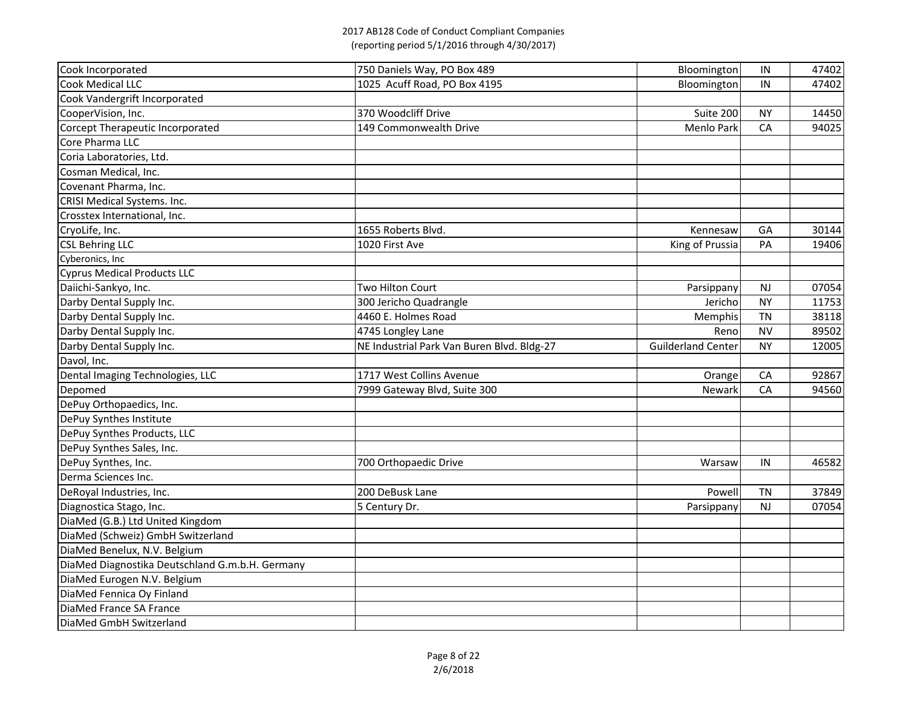| Cook Incorporated                               | 750 Daniels Way, PO Box 489                | Bloomington               | IN        | 47402 |
|-------------------------------------------------|--------------------------------------------|---------------------------|-----------|-------|
| <b>Cook Medical LLC</b>                         | 1025 Acuff Road, PO Box 4195               | Bloomington               | IN        | 47402 |
| Cook Vandergrift Incorporated                   |                                            |                           |           |       |
| CooperVision, Inc.                              | 370 Woodcliff Drive                        | Suite 200                 | <b>NY</b> | 14450 |
| Corcept Therapeutic Incorporated                | 149 Commonwealth Drive                     | <b>Menlo Park</b>         | CA        | 94025 |
| Core Pharma LLC                                 |                                            |                           |           |       |
| Coria Laboratories, Ltd.                        |                                            |                           |           |       |
| Cosman Medical, Inc.                            |                                            |                           |           |       |
| Covenant Pharma, Inc.                           |                                            |                           |           |       |
| CRISI Medical Systems. Inc.                     |                                            |                           |           |       |
| Crosstex International, Inc.                    |                                            |                           |           |       |
| CryoLife, Inc.                                  | 1655 Roberts Blvd.                         | Kennesaw                  | GA        | 30144 |
| <b>CSL Behring LLC</b>                          | 1020 First Ave                             | King of Prussia           | PA        | 19406 |
| Cyberonics, Inc                                 |                                            |                           |           |       |
| <b>Cyprus Medical Products LLC</b>              |                                            |                           |           |       |
| Daiichi-Sankyo, Inc.                            | Two Hilton Court                           | Parsippany                | <b>NJ</b> | 07054 |
| Darby Dental Supply Inc.                        | 300 Jericho Quadrangle                     | Jericho                   | <b>NY</b> | 11753 |
| Darby Dental Supply Inc.                        | 4460 E. Holmes Road                        | Memphis                   | <b>TN</b> | 38118 |
| Darby Dental Supply Inc.                        | 4745 Longley Lane                          | Reno                      | <b>NV</b> | 89502 |
| Darby Dental Supply Inc.                        | NE Industrial Park Van Buren Blvd. Bldg-27 | <b>Guilderland Center</b> | <b>NY</b> | 12005 |
| Davol, Inc.                                     |                                            |                           |           |       |
| Dental Imaging Technologies, LLC                | 1717 West Collins Avenue                   | Orange                    | CA        | 92867 |
| Depomed                                         | 7999 Gateway Blvd, Suite 300               | Newark                    | CA        | 94560 |
| DePuy Orthopaedics, Inc.                        |                                            |                           |           |       |
| DePuy Synthes Institute                         |                                            |                           |           |       |
| DePuy Synthes Products, LLC                     |                                            |                           |           |       |
| DePuy Synthes Sales, Inc.                       |                                            |                           |           |       |
| DePuy Synthes, Inc.                             | 700 Orthopaedic Drive                      | Warsaw                    | IN        | 46582 |
| Derma Sciences Inc.                             |                                            |                           |           |       |
| DeRoyal Industries, Inc.                        | 200 DeBusk Lane                            | Powell                    | <b>TN</b> | 37849 |
| Diagnostica Stago, Inc.                         | 5 Century Dr.                              | Parsippany                | <b>NJ</b> | 07054 |
| DiaMed (G.B.) Ltd United Kingdom                |                                            |                           |           |       |
| DiaMed (Schweiz) GmbH Switzerland               |                                            |                           |           |       |
| DiaMed Benelux, N.V. Belgium                    |                                            |                           |           |       |
| DiaMed Diagnostika Deutschland G.m.b.H. Germany |                                            |                           |           |       |
| DiaMed Eurogen N.V. Belgium                     |                                            |                           |           |       |
| DiaMed Fennica Oy Finland                       |                                            |                           |           |       |
| DiaMed France SA France                         |                                            |                           |           |       |
| DiaMed GmbH Switzerland                         |                                            |                           |           |       |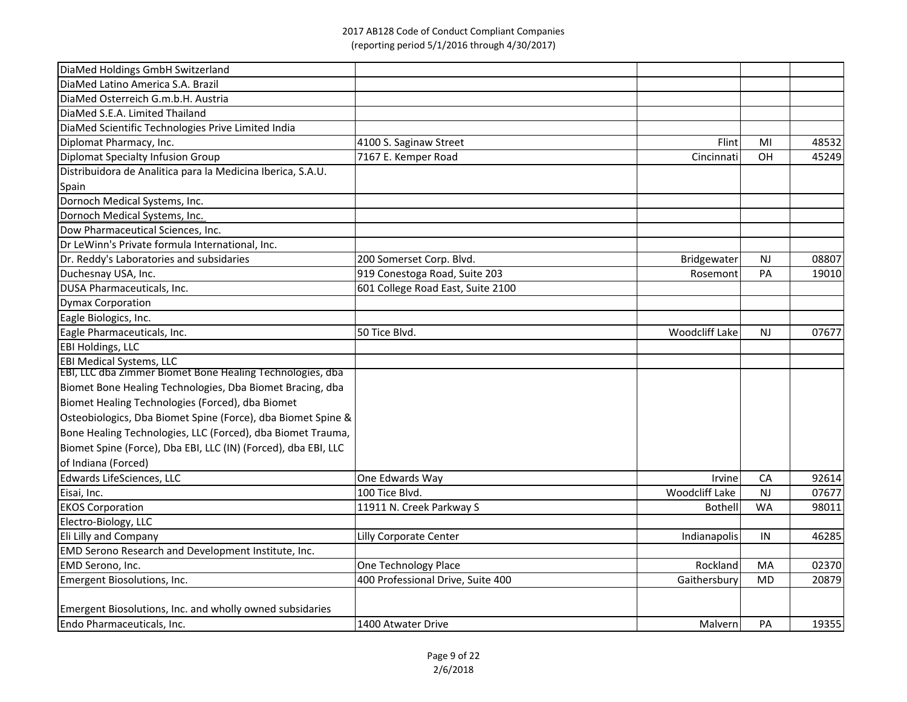| DiaMed Holdings GmbH Switzerland                               |                                   |                |           |       |
|----------------------------------------------------------------|-----------------------------------|----------------|-----------|-------|
| DiaMed Latino America S.A. Brazil                              |                                   |                |           |       |
| DiaMed Osterreich G.m.b.H. Austria                             |                                   |                |           |       |
| DiaMed S.E.A. Limited Thailand                                 |                                   |                |           |       |
| DiaMed Scientific Technologies Prive Limited India             |                                   |                |           |       |
| Diplomat Pharmacy, Inc.                                        | 4100 S. Saginaw Street            | Flint          | MI        | 48532 |
| Diplomat Specialty Infusion Group                              | 7167 E. Kemper Road               | Cincinnati     | OH        | 45249 |
| Distribuidora de Analitica para la Medicina Iberica, S.A.U.    |                                   |                |           |       |
| Spain                                                          |                                   |                |           |       |
| Dornoch Medical Systems, Inc.                                  |                                   |                |           |       |
| Dornoch Medical Systems, Inc.                                  |                                   |                |           |       |
| Dow Pharmaceutical Sciences, Inc.                              |                                   |                |           |       |
| Dr LeWinn's Private formula International, Inc.                |                                   |                |           |       |
| Dr. Reddy's Laboratories and subsidaries                       | 200 Somerset Corp. Blvd.          | Bridgewater    | NJ        | 08807 |
| Duchesnay USA, Inc.                                            | 919 Conestoga Road, Suite 203     | Rosemont       | PA        | 19010 |
| DUSA Pharmaceuticals, Inc.                                     | 601 College Road East, Suite 2100 |                |           |       |
| <b>Dymax Corporation</b>                                       |                                   |                |           |       |
| Eagle Biologics, Inc.                                          |                                   |                |           |       |
| Eagle Pharmaceuticals, Inc.                                    | 50 Tice Blvd.                     | Woodcliff Lake | <b>NJ</b> | 07677 |
| <b>EBI Holdings, LLC</b>                                       |                                   |                |           |       |
| <b>EBI Medical Systems, LLC</b>                                |                                   |                |           |       |
| EBI, LLC dba Zimmer Biomet Bone Healing Technologies, dba      |                                   |                |           |       |
| Biomet Bone Healing Technologies, Dba Biomet Bracing, dba      |                                   |                |           |       |
| Biomet Healing Technologies (Forced), dba Biomet               |                                   |                |           |       |
| Osteobiologics, Dba Biomet Spine (Force), dba Biomet Spine &   |                                   |                |           |       |
| Bone Healing Technologies, LLC (Forced), dba Biomet Trauma,    |                                   |                |           |       |
| Biomet Spine (Force), Dba EBI, LLC (IN) (Forced), dba EBI, LLC |                                   |                |           |       |
| of Indiana (Forced)                                            |                                   |                |           |       |
| Edwards LifeSciences, LLC                                      | One Edwards Way                   | Irvine         | CA        | 92614 |
| Eisai, Inc.                                                    | 100 Tice Blvd.                    | Woodcliff Lake | NJ        | 07677 |
| <b>EKOS Corporation</b>                                        | 11911 N. Creek Parkway S          | <b>Bothell</b> | <b>WA</b> | 98011 |
| Electro-Biology, LLC                                           |                                   |                |           |       |
| Eli Lilly and Company                                          | Lilly Corporate Center            | Indianapolis   | IN        | 46285 |
| EMD Serono Research and Development Institute, Inc.            |                                   |                |           |       |
| EMD Serono, Inc.                                               | One Technology Place              | Rockland       | MA        | 02370 |
| Emergent Biosolutions, Inc.                                    | 400 Professional Drive, Suite 400 | Gaithersbury   | MD        | 20879 |
| Emergent Biosolutions, Inc. and wholly owned subsidaries       |                                   |                |           |       |
| Endo Pharmaceuticals, Inc.                                     | 1400 Atwater Drive                | Malvern        | PA        | 19355 |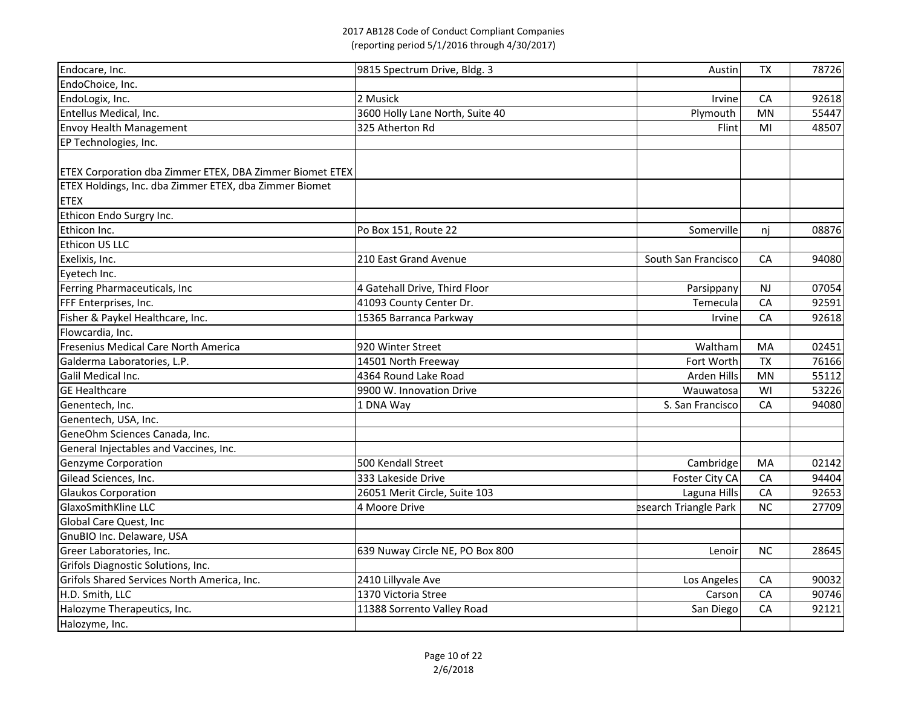| Endocare, Inc.                                           | 9815 Spectrum Drive, Bldg. 3    | Austin                | <b>TX</b>  | 78726 |
|----------------------------------------------------------|---------------------------------|-----------------------|------------|-------|
| EndoChoice, Inc.                                         |                                 |                       |            |       |
| EndoLogix, Inc.                                          | 2 Musick                        | Irvine                | CA         | 92618 |
| Entellus Medical, Inc.                                   | 3600 Holly Lane North, Suite 40 | Plymouth              | <b>MN</b>  | 55447 |
| <b>Envoy Health Management</b>                           | 325 Atherton Rd                 | Flint                 | MI         | 48507 |
| EP Technologies, Inc.                                    |                                 |                       |            |       |
|                                                          |                                 |                       |            |       |
| ETEX Corporation dba Zimmer ETEX, DBA Zimmer Biomet ETEX |                                 |                       |            |       |
| ETEX Holdings, Inc. dba Zimmer ETEX, dba Zimmer Biomet   |                                 |                       |            |       |
| <b>ETEX</b>                                              |                                 |                       |            |       |
| Ethicon Endo Surgry Inc.                                 |                                 |                       |            |       |
| Ethicon Inc.                                             | Po Box 151, Route 22            | Somerville            | nj         | 08876 |
| Ethicon US LLC                                           |                                 |                       |            |       |
| Exelixis, Inc.                                           | 210 East Grand Avenue           | South San Francisco   | CA         | 94080 |
| Eyetech Inc.                                             |                                 |                       |            |       |
| Ferring Pharmaceuticals, Inc                             | 4 Gatehall Drive, Third Floor   | Parsippany            | <b>NJ</b>  | 07054 |
| FFF Enterprises, Inc.                                    | 41093 County Center Dr.         | Temecula              | CA         | 92591 |
| Fisher & Paykel Healthcare, Inc.                         | 15365 Barranca Parkway          | Irvine                | CA         | 92618 |
| Flowcardia, Inc.                                         |                                 |                       |            |       |
| Fresenius Medical Care North America                     | 920 Winter Street               | Waltham               | MA         | 02451 |
| Galderma Laboratories, L.P.                              | 14501 North Freeway             | Fort Worth            | <b>TX</b>  | 76166 |
| Galil Medical Inc.                                       | 4364 Round Lake Road            | Arden Hills           | <b>MN</b>  | 55112 |
| <b>GE Healthcare</b>                                     | 9900 W. Innovation Drive        | Wauwatosa             | WI         | 53226 |
| Genentech, Inc.                                          | 1 DNA Way                       | S. San Francisco      | CA         | 94080 |
| Genentech, USA, Inc.                                     |                                 |                       |            |       |
| GeneOhm Sciences Canada, Inc.                            |                                 |                       |            |       |
| General Injectables and Vaccines, Inc.                   |                                 |                       |            |       |
| <b>Genzyme Corporation</b>                               | 500 Kendall Street              | Cambridge             | MA         | 02142 |
| Gilead Sciences, Inc.                                    | 333 Lakeside Drive              | Foster City CA        | <b>CA</b>  | 94404 |
| <b>Glaukos Corporation</b>                               | 26051 Merit Circle, Suite 103   | Laguna Hills          | ${\sf CA}$ | 92653 |
| <b>GlaxoSmithKline LLC</b>                               | 4 Moore Drive                   | esearch Triangle Park | <b>NC</b>  | 27709 |
| Global Care Quest, Inc                                   |                                 |                       |            |       |
| GnuBIO Inc. Delaware, USA                                |                                 |                       |            |       |
| Greer Laboratories, Inc.                                 | 639 Nuway Circle NE, PO Box 800 | Lenoir                | <b>NC</b>  | 28645 |
| Grifols Diagnostic Solutions, Inc.                       |                                 |                       |            |       |
| Grifols Shared Services North America, Inc.              | 2410 Lillyvale Ave              | Los Angeles           | CA         | 90032 |
| H.D. Smith, LLC                                          | 1370 Victoria Stree             | Carson                | <b>CA</b>  | 90746 |
| Halozyme Therapeutics, Inc.                              | 11388 Sorrento Valley Road      | San Diego             | CA         | 92121 |
| Halozyme, Inc.                                           |                                 |                       |            |       |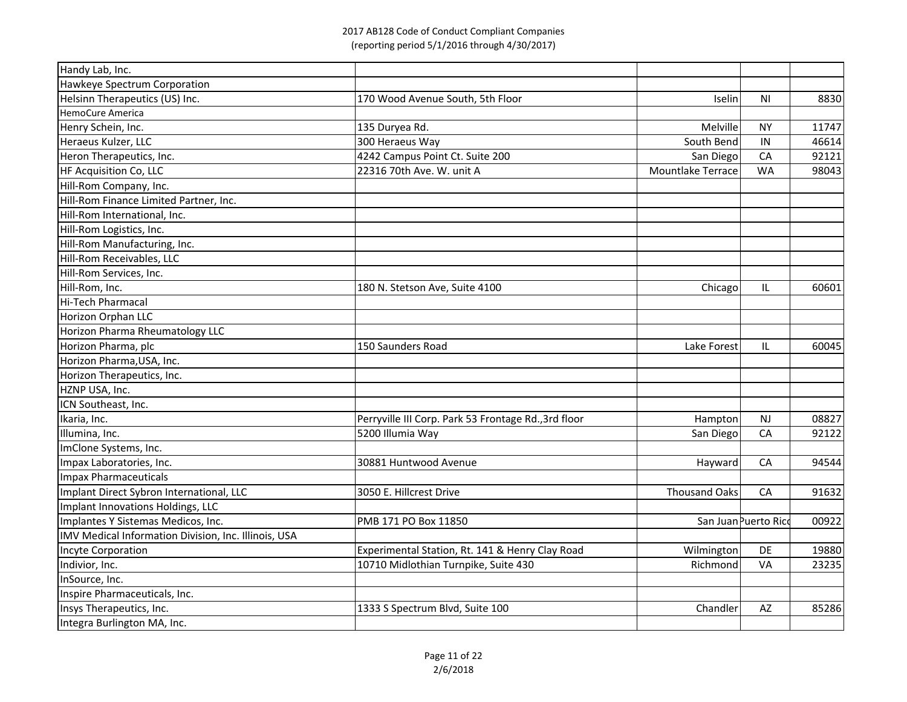| Handy Lab, Inc.                                      |                                                      |                   |                      |       |
|------------------------------------------------------|------------------------------------------------------|-------------------|----------------------|-------|
| Hawkeye Spectrum Corporation                         |                                                      |                   |                      |       |
| Helsinn Therapeutics (US) Inc.                       | 170 Wood Avenue South, 5th Floor                     | <b>Iselin</b>     | <b>NI</b>            | 8830  |
| HemoCure America                                     |                                                      |                   |                      |       |
| Henry Schein, Inc.                                   | 135 Duryea Rd.                                       | Melville          | <b>NY</b>            | 11747 |
| Heraeus Kulzer, LLC                                  | 300 Heraeus Way                                      | South Bend        | IN                   | 46614 |
| Heron Therapeutics, Inc.                             | 4242 Campus Point Ct. Suite 200                      | San Diego         | CA                   | 92121 |
| HF Acquisition Co, LLC                               | 22316 70th Ave. W. unit A                            | Mountlake Terrace | <b>WA</b>            | 98043 |
| Hill-Rom Company, Inc.                               |                                                      |                   |                      |       |
| Hill-Rom Finance Limited Partner, Inc.               |                                                      |                   |                      |       |
| Hill-Rom International, Inc.                         |                                                      |                   |                      |       |
| Hill-Rom Logistics, Inc.                             |                                                      |                   |                      |       |
| Hill-Rom Manufacturing, Inc.                         |                                                      |                   |                      |       |
| Hill-Rom Receivables, LLC                            |                                                      |                   |                      |       |
| Hill-Rom Services, Inc.                              |                                                      |                   |                      |       |
| Hill-Rom, Inc.                                       | 180 N. Stetson Ave, Suite 4100                       | Chicago           | IL                   | 60601 |
| Hi-Tech Pharmacal                                    |                                                      |                   |                      |       |
| Horizon Orphan LLC                                   |                                                      |                   |                      |       |
| Horizon Pharma Rheumatology LLC                      |                                                      |                   |                      |       |
| Horizon Pharma, plc                                  | 150 Saunders Road                                    | Lake Forest       | IL                   | 60045 |
| Horizon Pharma, USA, Inc.                            |                                                      |                   |                      |       |
| Horizon Therapeutics, Inc.                           |                                                      |                   |                      |       |
| HZNP USA, Inc.                                       |                                                      |                   |                      |       |
| ICN Southeast, Inc.                                  |                                                      |                   |                      |       |
| Ikaria, Inc.                                         | Perryville III Corp. Park 53 Frontage Rd., 3rd floor | Hampton           | <b>NJ</b>            | 08827 |
| Illumina, Inc.                                       | 5200 Illumia Way                                     | San Diego         | CA                   | 92122 |
| ImClone Systems, Inc.                                |                                                      |                   |                      |       |
| Impax Laboratories, Inc.                             | 30881 Huntwood Avenue                                | Hayward           | CA                   | 94544 |
| Impax Pharmaceuticals                                |                                                      |                   |                      |       |
| Implant Direct Sybron International, LLC             | 3050 E. Hillcrest Drive                              | Thousand Oaks     | CA                   | 91632 |
| Implant Innovations Holdings, LLC                    |                                                      |                   |                      |       |
| Implantes Y Sistemas Medicos, Inc.                   | PMB 171 PO Box 11850                                 |                   | San Juan Puerto Rico | 00922 |
| IMV Medical Information Division, Inc. Illinois, USA |                                                      |                   |                      |       |
| Incyte Corporation                                   | Experimental Station, Rt. 141 & Henry Clay Road      | Wilmington        | DE                   | 19880 |
| Indivior, Inc.                                       | 10710 Midlothian Turnpike, Suite 430                 | Richmond          | VA                   | 23235 |
| InSource, Inc.                                       |                                                      |                   |                      |       |
| Inspire Pharmaceuticals, Inc.                        |                                                      |                   |                      |       |
| Insys Therapeutics, Inc.                             | 1333 S Spectrum Blvd, Suite 100                      | Chandler          | AZ                   | 85286 |
| Integra Burlington MA, Inc.                          |                                                      |                   |                      |       |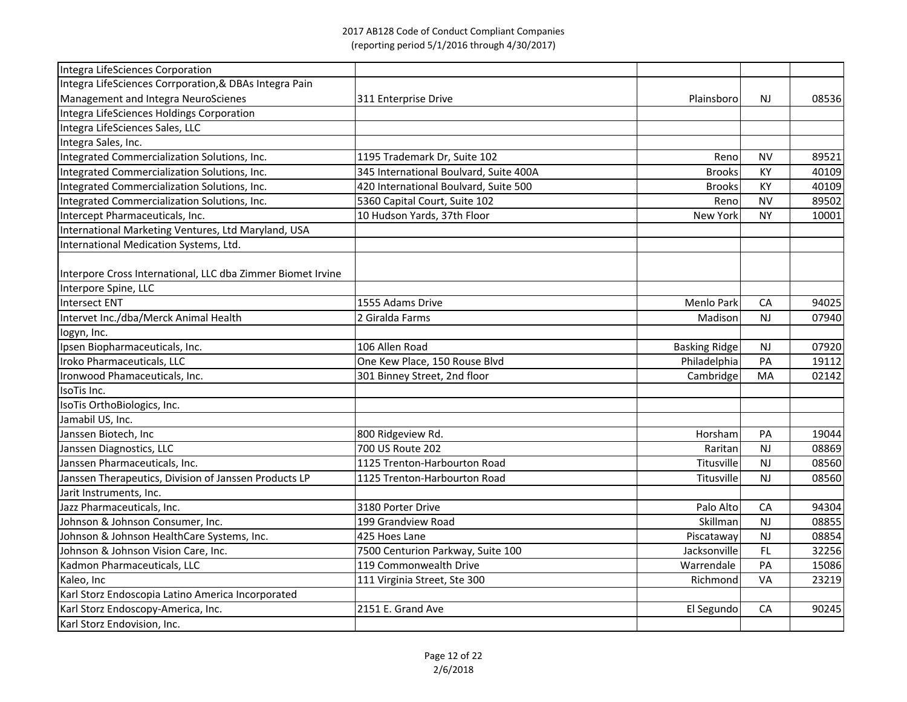| Integra LifeSciences Corporation                            |                                        |                      |           |       |
|-------------------------------------------------------------|----------------------------------------|----------------------|-----------|-------|
| Integra LifeSciences Corrporation, & DBAs Integra Pain      |                                        |                      |           |       |
| Management and Integra NeuroScienes                         | 311 Enterprise Drive                   | Plainsboro           | <b>NJ</b> | 08536 |
| Integra LifeSciences Holdings Corporation                   |                                        |                      |           |       |
| Integra LifeSciences Sales, LLC                             |                                        |                      |           |       |
| Integra Sales, Inc.                                         |                                        |                      |           |       |
| Integrated Commercialization Solutions, Inc.                | 1195 Trademark Dr, Suite 102           | Reno                 | <b>NV</b> | 89521 |
| Integrated Commercialization Solutions, Inc.                | 345 International Boulvard, Suite 400A | <b>Brooks</b>        | KY        | 40109 |
| Integrated Commercialization Solutions, Inc.                | 420 International Boulvard, Suite 500  | <b>Brooks</b>        | KY        | 40109 |
| Integrated Commercialization Solutions, Inc.                | 5360 Capital Court, Suite 102          | Reno                 | <b>NV</b> | 89502 |
| Intercept Pharmaceuticals, Inc.                             | 10 Hudson Yards, 37th Floor            | <b>New York</b>      | <b>NY</b> | 10001 |
| International Marketing Ventures, Ltd Maryland, USA         |                                        |                      |           |       |
| International Medication Systems, Ltd.                      |                                        |                      |           |       |
| Interpore Cross International, LLC dba Zimmer Biomet Irvine |                                        |                      |           |       |
| Interpore Spine, LLC                                        |                                        |                      |           |       |
| Intersect ENT                                               | 1555 Adams Drive                       | <b>Menlo Park</b>    | CA        | 94025 |
| Intervet Inc./dba/Merck Animal Health                       | 2 Giralda Farms                        | Madison              | NJ        | 07940 |
| logyn, Inc.                                                 |                                        |                      |           |       |
| Ipsen Biopharmaceuticals, Inc.                              | 106 Allen Road                         | <b>Basking Ridge</b> | <b>NJ</b> | 07920 |
| Iroko Pharmaceuticals, LLC                                  | One Kew Place, 150 Rouse Blvd          | Philadelphia         | PA        | 19112 |
| Ironwood Phamaceuticals, Inc.                               | 301 Binney Street, 2nd floor           | Cambridge            | MA        | 02142 |
| IsoTis Inc.                                                 |                                        |                      |           |       |
| IsoTis OrthoBiologics, Inc.                                 |                                        |                      |           |       |
| Jamabil US, Inc.                                            |                                        |                      |           |       |
| Janssen Biotech, Inc                                        | 800 Ridgeview Rd.                      | Horsham              | PA        | 19044 |
| Janssen Diagnostics, LLC                                    | 700 US Route 202                       | Raritan              | <b>NJ</b> | 08869 |
| Janssen Pharmaceuticals, Inc.                               | 1125 Trenton-Harbourton Road           | Titusville           | <b>NJ</b> | 08560 |
| Janssen Therapeutics, Division of Janssen Products LP       | 1125 Trenton-Harbourton Road           | Titusville           | <b>NJ</b> | 08560 |
| Jarit Instruments, Inc.                                     |                                        |                      |           |       |
| Jazz Pharmaceuticals, Inc.                                  | 3180 Porter Drive                      | Palo Alto            | CA        | 94304 |
| Johnson & Johnson Consumer, Inc.                            | 199 Grandview Road                     | Skillman             | <b>NJ</b> | 08855 |
| Johnson & Johnson HealthCare Systems, Inc.                  | 425 Hoes Lane                          | Piscataway           | <b>NJ</b> | 08854 |
| Johnson & Johnson Vision Care, Inc.                         | 7500 Centurion Parkway, Suite 100      | Jacksonville         | FL.       | 32256 |
| Kadmon Pharmaceuticals, LLC                                 | 119 Commonwealth Drive                 | Warrendale           | PA        | 15086 |
| Kaleo, Inc                                                  | 111 Virginia Street, Ste 300           | Richmond             | VA        | 23219 |
| Karl Storz Endoscopia Latino America Incorporated           |                                        |                      |           |       |
| Karl Storz Endoscopy-America, Inc.                          | 2151 E. Grand Ave                      | El Segundo           | CA        | 90245 |
| Karl Storz Endovision, Inc.                                 |                                        |                      |           |       |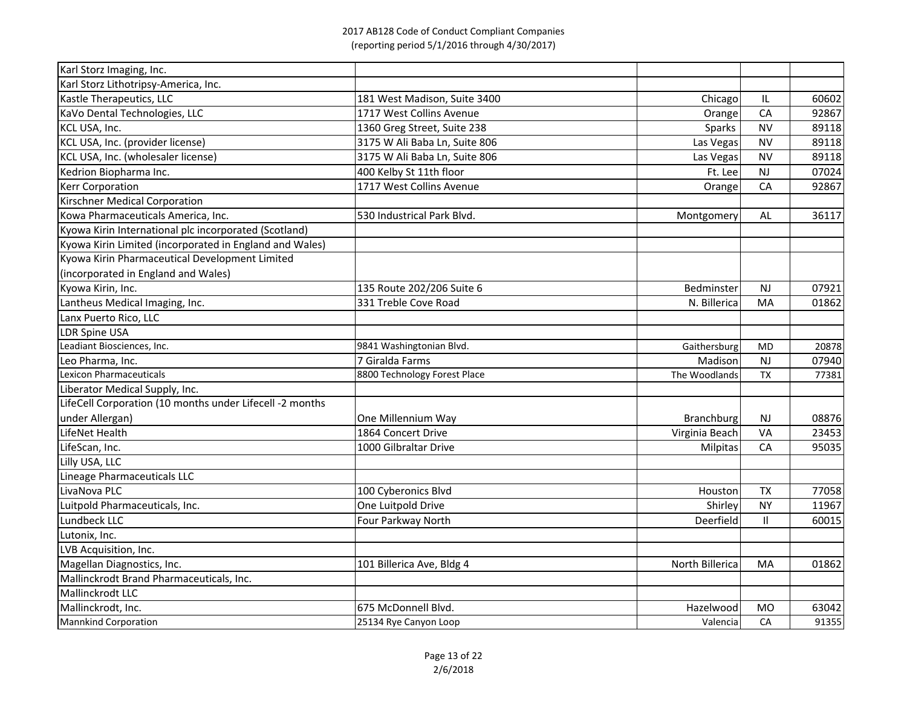| Karl Storz Imaging, Inc.                                 |                               |                   |           |       |
|----------------------------------------------------------|-------------------------------|-------------------|-----------|-------|
| Karl Storz Lithotripsy-America, Inc.                     |                               |                   |           |       |
| Kastle Therapeutics, LLC                                 | 181 West Madison, Suite 3400  | Chicago           | IL        | 60602 |
| KaVo Dental Technologies, LLC                            | 1717 West Collins Avenue      | Orange            | CA        | 92867 |
| KCL USA, Inc.                                            | 1360 Greg Street, Suite 238   | Sparks            | <b>NV</b> | 89118 |
| KCL USA, Inc. (provider license)                         | 3175 W Ali Baba Ln, Suite 806 | Las Vegas         | <b>NV</b> | 89118 |
| KCL USA, Inc. (wholesaler license)                       | 3175 W Ali Baba Ln, Suite 806 | Las Vegas         | <b>NV</b> | 89118 |
| Kedrion Biopharma Inc.                                   | 400 Kelby St 11th floor       | Ft. Lee           | <b>NJ</b> | 07024 |
| <b>Kerr Corporation</b>                                  | 1717 West Collins Avenue      | Orange            | CA        | 92867 |
| <b>Kirschner Medical Corporation</b>                     |                               |                   |           |       |
| Kowa Pharmaceuticals America, Inc.                       | 530 Industrical Park Blvd.    | Montgomery        | AL        | 36117 |
| Kyowa Kirin International plc incorporated (Scotland)    |                               |                   |           |       |
| Kyowa Kirin Limited (incorporated in England and Wales)  |                               |                   |           |       |
| Kyowa Kirin Pharmaceutical Development Limited           |                               |                   |           |       |
| (incorporated in England and Wales)                      |                               |                   |           |       |
| Kyowa Kirin, Inc.                                        | 135 Route 202/206 Suite 6     | Bedminster        | <b>NJ</b> | 07921 |
| Lantheus Medical Imaging, Inc.                           | 331 Treble Cove Road          | N. Billerica      | MA        | 01862 |
| Lanx Puerto Rico, LLC                                    |                               |                   |           |       |
| <b>LDR Spine USA</b>                                     |                               |                   |           |       |
| Leadiant Biosciences, Inc.                               | 9841 Washingtonian Blvd.      | Gaithersburg      | <b>MD</b> | 20878 |
| Leo Pharma, Inc.                                         | 7 Giralda Farms               | Madison           | <b>NJ</b> | 07940 |
| <b>Lexicon Pharmaceuticals</b>                           | 8800 Technology Forest Place  | The Woodlands     | <b>TX</b> | 77381 |
| Liberator Medical Supply, Inc.                           |                               |                   |           |       |
| LifeCell Corporation (10 months under Lifecell -2 months |                               |                   |           |       |
| under Allergan)                                          | One Millennium Way            | <b>Branchburg</b> | <b>NJ</b> | 08876 |
| LifeNet Health                                           | 1864 Concert Drive            | Virginia Beach    | <b>VA</b> | 23453 |
| LifeScan, Inc.                                           | 1000 Gilbraltar Drive         | Milpitas          | CA        | 95035 |
| Lilly USA, LLC                                           |                               |                   |           |       |
| Lineage Pharmaceuticals LLC                              |                               |                   |           |       |
| LivaNova PLC                                             | 100 Cyberonics Blvd           | Houston           | <b>TX</b> | 77058 |
| Luitpold Pharmaceuticals, Inc.                           | One Luitpold Drive            | Shirley           | <b>NY</b> | 11967 |
| Lundbeck LLC                                             | Four Parkway North            | <b>Deerfield</b>  | П.        | 60015 |
| Lutonix, Inc.                                            |                               |                   |           |       |
| LVB Acquisition, Inc.                                    |                               |                   |           |       |
| Magellan Diagnostics, Inc.                               | 101 Billerica Ave, Bldg 4     | North Billerica   | MA        | 01862 |
| Mallinckrodt Brand Pharmaceuticals, Inc.                 |                               |                   |           |       |
| Mallinckrodt LLC                                         |                               |                   |           |       |
| Mallinckrodt, Inc.                                       | 675 McDonnell Blvd.           | Hazelwood         | <b>MO</b> | 63042 |
| <b>Mannkind Corporation</b>                              | 25134 Rye Canyon Loop         | Valencia          | CA        | 91355 |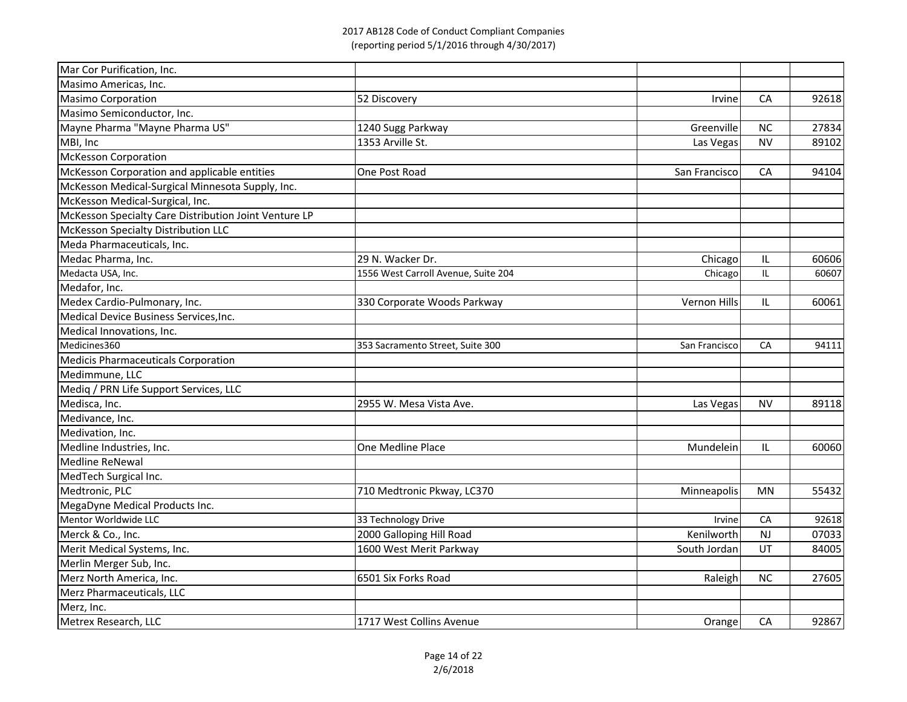| Mar Cor Purification, Inc.                            |                                     |               |           |       |
|-------------------------------------------------------|-------------------------------------|---------------|-----------|-------|
| Masimo Americas, Inc.                                 |                                     |               |           |       |
| <b>Masimo Corporation</b>                             | 52 Discovery                        | <b>Irvine</b> | CA        | 92618 |
| Masimo Semiconductor, Inc.                            |                                     |               |           |       |
| Mayne Pharma "Mayne Pharma US"                        | 1240 Sugg Parkway                   | Greenville    | <b>NC</b> | 27834 |
| MBI, Inc                                              | 1353 Arville St.                    | Las Vegas     | <b>NV</b> | 89102 |
| <b>McKesson Corporation</b>                           |                                     |               |           |       |
| McKesson Corporation and applicable entities          | One Post Road                       | San Francisco | CA        | 94104 |
| McKesson Medical-Surgical Minnesota Supply, Inc.      |                                     |               |           |       |
| McKesson Medical-Surgical, Inc.                       |                                     |               |           |       |
| McKesson Specialty Care Distribution Joint Venture LP |                                     |               |           |       |
| McKesson Specialty Distribution LLC                   |                                     |               |           |       |
| Meda Pharmaceuticals, Inc.                            |                                     |               |           |       |
| Medac Pharma, Inc.                                    | 29 N. Wacker Dr.                    | Chicago       | IL        | 60606 |
| Medacta USA, Inc.                                     | 1556 West Carroll Avenue, Suite 204 | Chicago       | IL        | 60607 |
| Medafor, Inc.                                         |                                     |               |           |       |
| Medex Cardio-Pulmonary, Inc.                          | 330 Corporate Woods Parkway         | Vernon Hills  | IL        | 60061 |
| Medical Device Business Services, Inc.                |                                     |               |           |       |
| Medical Innovations, Inc.                             |                                     |               |           |       |
| Medicines360                                          | 353 Sacramento Street, Suite 300    | San Francisco | CA        | 94111 |
| <b>Medicis Pharmaceuticals Corporation</b>            |                                     |               |           |       |
| Medimmune, LLC                                        |                                     |               |           |       |
| Mediq / PRN Life Support Services, LLC                |                                     |               |           |       |
| Medisca, Inc.                                         | 2955 W. Mesa Vista Ave.             | Las Vegas     | <b>NV</b> | 89118 |
| Medivance, Inc.                                       |                                     |               |           |       |
| Medivation, Inc.                                      |                                     |               |           |       |
| Medline Industries, Inc.                              | One Medline Place                   | Mundelein     | IL        | 60060 |
| Medline ReNewal                                       |                                     |               |           |       |
| MedTech Surgical Inc.                                 |                                     |               |           |       |
| Medtronic, PLC                                        | 710 Medtronic Pkway, LC370          | Minneapolis   | <b>MN</b> | 55432 |
| MegaDyne Medical Products Inc.                        |                                     |               |           |       |
| Mentor Worldwide LLC                                  | 33 Technology Drive                 | Irvine        | CA        | 92618 |
| Merck & Co., Inc.                                     | 2000 Galloping Hill Road            | Kenilworth    | <b>NJ</b> | 07033 |
| Merit Medical Systems, Inc.                           | 1600 West Merit Parkway             | South Jordan  | UT        | 84005 |
| Merlin Merger Sub, Inc.                               |                                     |               |           |       |
| Merz North America, Inc.                              | 6501 Six Forks Road                 | Raleigh       | <b>NC</b> | 27605 |
| Merz Pharmaceuticals, LLC                             |                                     |               |           |       |
| Merz, Inc.                                            |                                     |               |           |       |
| Metrex Research, LLC                                  | 1717 West Collins Avenue            | Orange        | CA        | 92867 |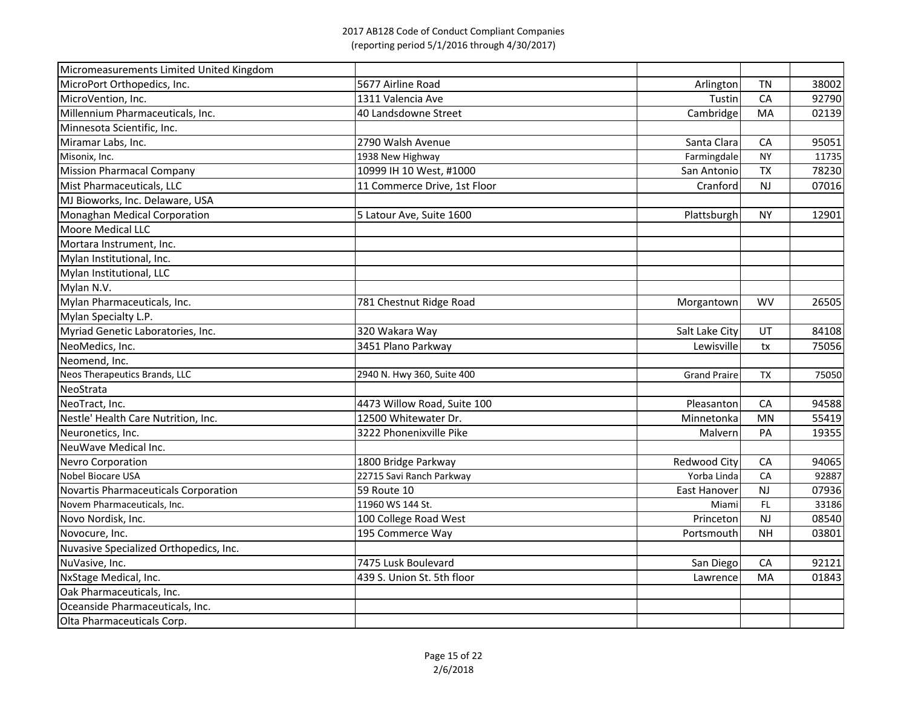| Micromeasurements Limited United Kingdom |                              |                     |           |       |
|------------------------------------------|------------------------------|---------------------|-----------|-------|
| MicroPort Orthopedics, Inc.              | 5677 Airline Road            | Arlington           | <b>TN</b> | 38002 |
| MicroVention, Inc.                       | 1311 Valencia Ave            | Tustin              | CA        | 92790 |
| Millennium Pharmaceuticals, Inc.         | 40 Landsdowne Street         | Cambridge           | MA        | 02139 |
| Minnesota Scientific, Inc.               |                              |                     |           |       |
| Miramar Labs, Inc.                       | 2790 Walsh Avenue            | Santa Clara         | CA        | 95051 |
| Misonix, Inc.                            | 1938 New Highway             | Farmingdale         | <b>NY</b> | 11735 |
| <b>Mission Pharmacal Company</b>         | 10999 IH 10 West, #1000      | San Antonio         | <b>TX</b> | 78230 |
| Mist Pharmaceuticals, LLC                | 11 Commerce Drive, 1st Floor | Cranford            | <b>NJ</b> | 07016 |
| MJ Bioworks, Inc. Delaware, USA          |                              |                     |           |       |
| Monaghan Medical Corporation             | 5 Latour Ave, Suite 1600     | Plattsburgh         | <b>NY</b> | 12901 |
| <b>Moore Medical LLC</b>                 |                              |                     |           |       |
| Mortara Instrument, Inc.                 |                              |                     |           |       |
| Mylan Institutional, Inc.                |                              |                     |           |       |
| Mylan Institutional, LLC                 |                              |                     |           |       |
| Mylan N.V.                               |                              |                     |           |       |
| Mylan Pharmaceuticals, Inc.              | 781 Chestnut Ridge Road      | Morgantown          | <b>WV</b> | 26505 |
| Mylan Specialty L.P.                     |                              |                     |           |       |
| Myriad Genetic Laboratories, Inc.        | 320 Wakara Way               | Salt Lake City      | UT        | 84108 |
| NeoMedics, Inc.                          | 3451 Plano Parkway           | Lewisville          | tx        | 75056 |
| Neomend, Inc.                            |                              |                     |           |       |
| Neos Therapeutics Brands, LLC            | 2940 N. Hwy 360, Suite 400   | <b>Grand Praire</b> | <b>TX</b> | 75050 |
| NeoStrata                                |                              |                     |           |       |
| NeoTract, Inc.                           | 4473 Willow Road, Suite 100  | Pleasanton          | CA        | 94588 |
| Nestle' Health Care Nutrition, Inc.      | 12500 Whitewater Dr.         | Minnetonka          | <b>MN</b> | 55419 |
| Neuronetics, Inc.                        | 3222 Phonenixville Pike      | Malvern             | PA        | 19355 |
| NeuWave Medical Inc.                     |                              |                     |           |       |
| <b>Nevro Corporation</b>                 | 1800 Bridge Parkway          | <b>Redwood City</b> | CA        | 94065 |
| Nobel Biocare USA                        | 22715 Savi Ranch Parkway     | Yorba Linda         | CA        | 92887 |
| Novartis Pharmaceuticals Corporation     | 59 Route 10                  | East Hanover        | <b>NJ</b> | 07936 |
| Novem Pharmaceuticals, Inc.              | 11960 WS 144 St.             | Miami               | FL.       | 33186 |
| Novo Nordisk, Inc.                       | 100 College Road West        | Princeton           | <b>NJ</b> | 08540 |
| Novocure, Inc.                           | 195 Commerce Way             | Portsmouth          | <b>NH</b> | 03801 |
| Nuvasive Specialized Orthopedics, Inc.   |                              |                     |           |       |
| NuVasive, Inc.                           | 7475 Lusk Boulevard          | San Diego           | CA        | 92121 |
| NxStage Medical, Inc.                    | 439 S. Union St. 5th floor   | Lawrence            | MA        | 01843 |
| Oak Pharmaceuticals, Inc.                |                              |                     |           |       |
| Oceanside Pharmaceuticals, Inc.          |                              |                     |           |       |
| Olta Pharmaceuticals Corp.               |                              |                     |           |       |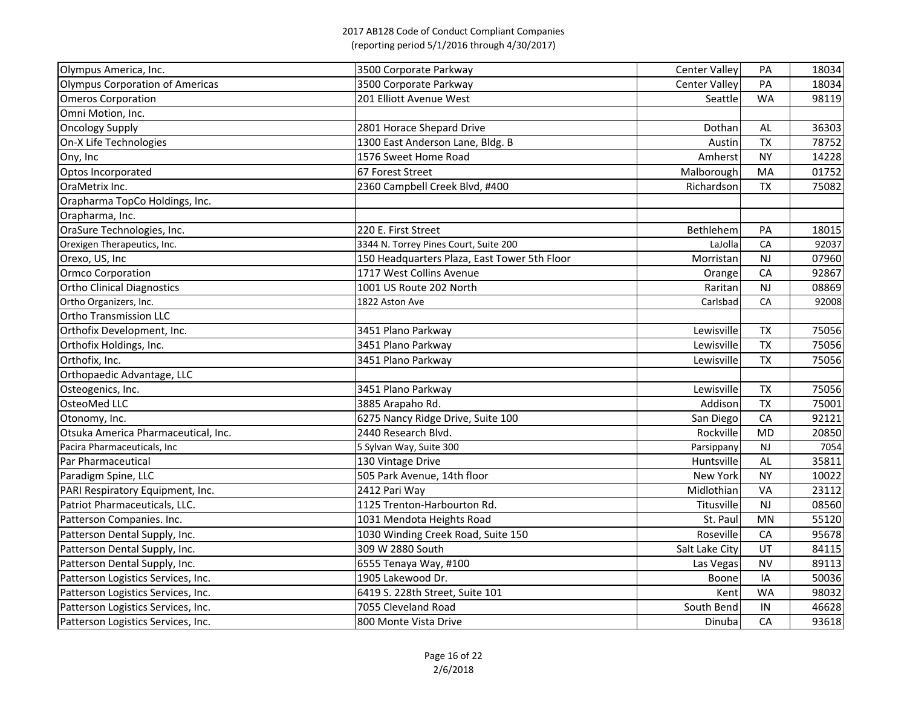| Olympus America, Inc.                  | 3500 Corporate Parkway                       | <b>Center Valley</b> | PA        | 18034 |
|----------------------------------------|----------------------------------------------|----------------------|-----------|-------|
| <b>Olympus Corporation of Americas</b> | 3500 Corporate Parkway                       | <b>Center Valley</b> | PA        | 18034 |
| <b>Omeros Corporation</b>              | 201 Elliott Avenue West                      | Seattle              | <b>WA</b> | 98119 |
| Omni Motion, Inc.                      |                                              |                      |           |       |
| <b>Oncology Supply</b>                 | 2801 Horace Shepard Drive                    | Dothan               | AL        | 36303 |
| On-X Life Technologies                 | 1300 East Anderson Lane, Bldg. B             | Austin               | <b>TX</b> | 78752 |
| Ony, Inc                               | 1576 Sweet Home Road                         | Amherst              | <b>NY</b> | 14228 |
| Optos Incorporated                     | 67 Forest Street                             | Malborough           | MA        | 01752 |
| OraMetrix Inc.                         | 2360 Campbell Creek Blvd, #400               | Richardson           | <b>TX</b> | 75082 |
| Orapharma TopCo Holdings, Inc.         |                                              |                      |           |       |
| Orapharma, Inc.                        |                                              |                      |           |       |
| OraSure Technologies, Inc.             | 220 E. First Street                          | Bethlehem            | PA        | 18015 |
| Orexigen Therapeutics, Inc.            | 3344 N. Torrey Pines Court, Suite 200        | LaJolla              | CA        | 92037 |
| Orexo, US, Inc                         | 150 Headquarters Plaza, East Tower 5th Floor | Morristan            | NJ        | 07960 |
| <b>Ormco Corporation</b>               | 1717 West Collins Avenue                     | Orange               | CA        | 92867 |
| <b>Ortho Clinical Diagnostics</b>      | 1001 US Route 202 North                      | Raritan              | <b>NJ</b> | 08869 |
| Ortho Organizers, Inc.                 | 1822 Aston Ave                               | Carlsbad             | CA        | 92008 |
| <b>Ortho Transmission LLC</b>          |                                              |                      |           |       |
| Orthofix Development, Inc.             | 3451 Plano Parkway                           | Lewisville           | <b>TX</b> | 75056 |
| Orthofix Holdings, Inc.                | 3451 Plano Parkway                           | Lewisville           | <b>TX</b> | 75056 |
| Orthofix, Inc.                         | 3451 Plano Parkway                           | Lewisville           | <b>TX</b> | 75056 |
| Orthopaedic Advantage, LLC             |                                              |                      |           |       |
| Osteogenics, Inc.                      | 3451 Plano Parkway                           | Lewisville           | <b>TX</b> | 75056 |
| OsteoMed LLC                           | 3885 Arapaho Rd.                             | Addison              | <b>TX</b> | 75001 |
| Otonomy, Inc.                          | 6275 Nancy Ridge Drive, Suite 100            | San Diegol           | CA        | 92121 |
| Otsuka America Pharmaceutical, Inc.    | 2440 Research Blvd.                          | Rockville            | <b>MD</b> | 20850 |
| Pacira Pharmaceuticals, Inc            | 5 Sylvan Way, Suite 300                      | Parsippany           | <b>NJ</b> | 7054  |
| Par Pharmaceutical                     | 130 Vintage Drive                            | Huntsville           | AL        | 35811 |
| Paradigm Spine, LLC                    | 505 Park Avenue, 14th floor                  | New York             | <b>NY</b> | 10022 |
| PARI Respiratory Equipment, Inc.       | 2412 Pari Way                                | Midlothian           | VA        | 23112 |
| Patriot Pharmaceuticals, LLC.          | 1125 Trenton-Harbourton Rd.                  | Titusville           | <b>NJ</b> | 08560 |
| Patterson Companies. Inc.              | 1031 Mendota Heights Road                    | St. Paul             | MN        | 55120 |
| Patterson Dental Supply, Inc.          | 1030 Winding Creek Road, Suite 150           | Roseville            | CA        | 95678 |
| Patterson Dental Supply, Inc.          | 309 W 2880 South                             | Salt Lake City       | UT        | 84115 |
| Patterson Dental Supply, Inc.          | 6555 Tenaya Way, #100                        | Las Vegas            | <b>NV</b> | 89113 |
| Patterson Logistics Services, Inc.     | 1905 Lakewood Dr.                            | Boone                | IA        | 50036 |
| Patterson Logistics Services, Inc.     | 6419 S. 228th Street, Suite 101              | Kent                 | <b>WA</b> | 98032 |
| Patterson Logistics Services, Inc.     | 7055 Cleveland Road                          | South Bend           | IN        | 46628 |
| Patterson Logistics Services, Inc.     | 800 Monte Vista Drive                        | Dinuba               | CA        | 93618 |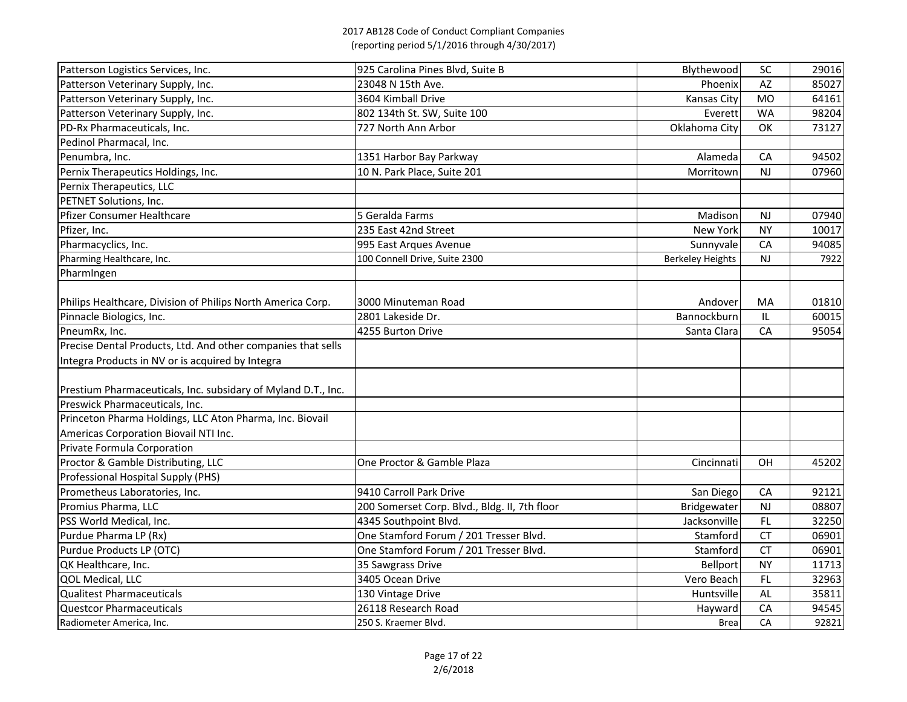| Patterson Logistics Services, Inc.                            | 925 Carolina Pines Blvd, Suite B              | Blythewood              | <b>SC</b>      | 29016 |
|---------------------------------------------------------------|-----------------------------------------------|-------------------------|----------------|-------|
| Patterson Veterinary Supply, Inc.                             | 23048 N 15th Ave.                             | Phoenix                 | AZ             | 85027 |
| Patterson Veterinary Supply, Inc.                             | 3604 Kimball Drive                            | Kansas City             | M <sub>O</sub> | 64161 |
| Patterson Veterinary Supply, Inc.                             | 802 134th St. SW, Suite 100                   | Everett                 | <b>WA</b>      | 98204 |
| PD-Rx Pharmaceuticals, Inc.                                   | 727 North Ann Arbor                           | Oklahoma City           | OK             | 73127 |
| Pedinol Pharmacal, Inc.                                       |                                               |                         |                |       |
| Penumbra, Inc.                                                | 1351 Harbor Bay Parkway                       | Alameda                 | CA             | 94502 |
| Pernix Therapeutics Holdings, Inc.                            | 10 N. Park Place, Suite 201                   | Morritown               | <b>NJ</b>      | 07960 |
| Pernix Therapeutics, LLC                                      |                                               |                         |                |       |
| PETNET Solutions, Inc.                                        |                                               |                         |                |       |
| Pfizer Consumer Healthcare                                    | 5 Geralda Farms                               | Madison                 | <b>NJ</b>      | 07940 |
| Pfizer, Inc.                                                  | 235 East 42nd Street                          | New York                | <b>NY</b>      | 10017 |
| Pharmacyclics, Inc.                                           | 995 East Arques Avenue                        | Sunnyvale               | CA             | 94085 |
| Pharming Healthcare, Inc.                                     | 100 Connell Drive, Suite 2300                 | <b>Berkeley Heights</b> | <b>NJ</b>      | 7922  |
| Pharmingen                                                    |                                               |                         |                |       |
|                                                               |                                               |                         |                |       |
| Philips Healthcare, Division of Philips North America Corp.   | 3000 Minuteman Road                           | Andover                 | MA             | 01810 |
| Pinnacle Biologics, Inc.                                      | 2801 Lakeside Dr.                             | Bannockburn             | IL.            | 60015 |
| PneumRx, Inc.                                                 | 4255 Burton Drive                             | Santa Clara             | CA             | 95054 |
| Precise Dental Products, Ltd. And other companies that sells  |                                               |                         |                |       |
| Integra Products in NV or is acquired by Integra              |                                               |                         |                |       |
|                                                               |                                               |                         |                |       |
| Prestium Pharmaceuticals, Inc. subsidary of Myland D.T., Inc. |                                               |                         |                |       |
| Preswick Pharmaceuticals, Inc.                                |                                               |                         |                |       |
| Princeton Pharma Holdings, LLC Aton Pharma, Inc. Biovail      |                                               |                         |                |       |
| Americas Corporation Biovail NTI Inc.                         |                                               |                         |                |       |
| Private Formula Corporation                                   |                                               |                         |                |       |
| Proctor & Gamble Distributing, LLC                            | One Proctor & Gamble Plaza                    | Cincinnati              | OH             | 45202 |
| <b>Professional Hospital Supply (PHS)</b>                     |                                               |                         |                |       |
| Prometheus Laboratories, Inc.                                 | 9410 Carroll Park Drive                       | San Diego               | CA             | 92121 |
| Promius Pharma, LLC                                           | 200 Somerset Corp. Blvd., Bldg. II, 7th floor | <b>Bridgewater</b>      | <b>NJ</b>      | 08807 |
| PSS World Medical, Inc.                                       | 4345 Southpoint Blvd.                         | Jacksonville            | FL.            | 32250 |
| Purdue Pharma LP (Rx)                                         | One Stamford Forum / 201 Tresser Blvd.        | Stamford                | <b>CT</b>      | 06901 |
| Purdue Products LP (OTC)                                      | One Stamford Forum / 201 Tresser Blvd.        | Stamford                | <b>CT</b>      | 06901 |
| QK Healthcare, Inc.                                           | 35 Sawgrass Drive                             | <b>Bellport</b>         | <b>NY</b>      | 11713 |
| QOL Medical, LLC                                              | 3405 Ocean Drive                              | Vero Beach              | FL.            | 32963 |
| Qualitest Pharmaceuticals                                     | 130 Vintage Drive                             | Huntsville              | AL             | 35811 |
| Questcor Pharmaceuticals                                      | 26118 Research Road                           | Hayward                 | CA             | 94545 |
| Radiometer America, Inc.                                      | 250 S. Kraemer Blvd.                          | <b>Brea</b>             | CA             | 92821 |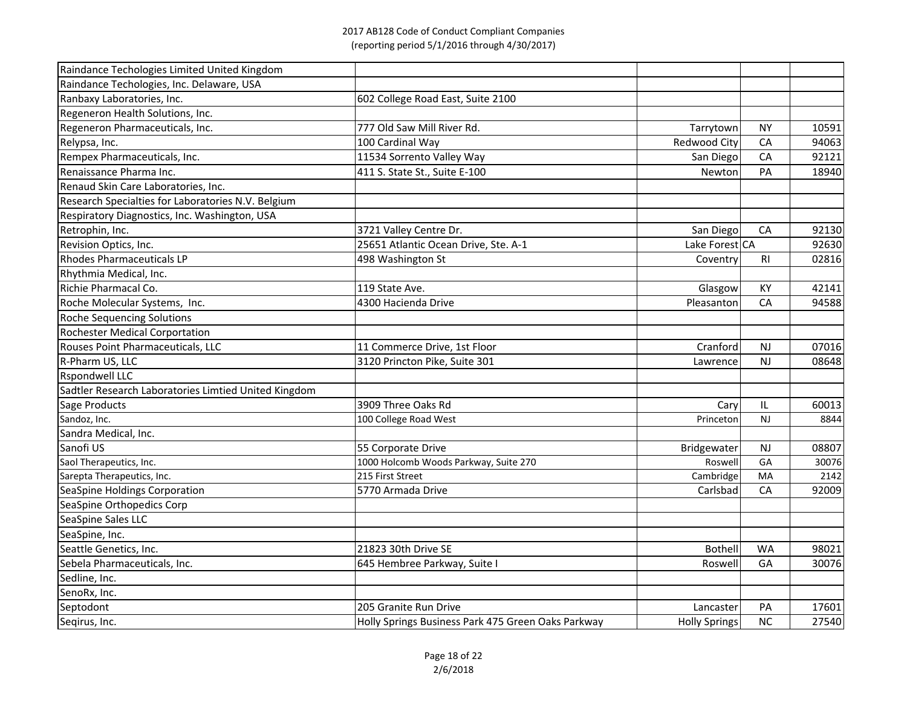| Raindance Techologies Limited United Kingdom         |                                                    |                    |                |       |
|------------------------------------------------------|----------------------------------------------------|--------------------|----------------|-------|
| Raindance Techologies, Inc. Delaware, USA            |                                                    |                    |                |       |
| Ranbaxy Laboratories, Inc.                           | 602 College Road East, Suite 2100                  |                    |                |       |
| Regeneron Health Solutions, Inc.                     |                                                    |                    |                |       |
| Regeneron Pharmaceuticals, Inc.                      | 777 Old Saw Mill River Rd.                         | Tarrytown          | <b>NY</b>      | 10591 |
| Relypsa, Inc.                                        | 100 Cardinal Way                                   | Redwood City       | CA             | 94063 |
| Rempex Pharmaceuticals, Inc.                         | 11534 Sorrento Valley Way                          | San Diego          | CA             | 92121 |
| Renaissance Pharma Inc.                              | 411 S. State St., Suite E-100                      | Newton             | PA             | 18940 |
| Renaud Skin Care Laboratories, Inc.                  |                                                    |                    |                |       |
| Research Specialties for Laboratories N.V. Belgium   |                                                    |                    |                |       |
| Respiratory Diagnostics, Inc. Washington, USA        |                                                    |                    |                |       |
| Retrophin, Inc.                                      | 3721 Valley Centre Dr.                             | San Diego          | CA             | 92130 |
| Revision Optics, Inc.                                | 25651 Atlantic Ocean Drive, Ste. A-1               | Lake Forest CA     |                | 92630 |
| <b>Rhodes Pharmaceuticals LP</b>                     | 498 Washington St                                  | Coventry           | R <sub>l</sub> | 02816 |
| Rhythmia Medical, Inc.                               |                                                    |                    |                |       |
| Richie Pharmacal Co.                                 | 119 State Ave.                                     | Glasgow            | KY             | 42141 |
| Roche Molecular Systems, Inc.                        | 4300 Hacienda Drive                                | Pleasanton         | CA             | 94588 |
| <b>Roche Sequencing Solutions</b>                    |                                                    |                    |                |       |
| <b>Rochester Medical Corportation</b>                |                                                    |                    |                |       |
| Rouses Point Pharmaceuticals, LLC                    | 11 Commerce Drive, 1st Floor                       | Cranford           | NJ             | 07016 |
| R-Pharm US, LLC                                      | 3120 Princton Pike, Suite 301                      | Lawrence           | <b>NJ</b>      | 08648 |
| <b>Rspondwell LLC</b>                                |                                                    |                    |                |       |
| Sadtler Research Laboratories Limtied United Kingdom |                                                    |                    |                |       |
| Sage Products                                        | 3909 Three Oaks Rd                                 | Cary               | IL             | 60013 |
| Sandoz, Inc.                                         | 100 College Road West                              | <b>Princeton</b>   | <b>NJ</b>      | 8844  |
| Sandra Medical, Inc.                                 |                                                    |                    |                |       |
| Sanofi US                                            | 55 Corporate Drive                                 | <b>Bridgewater</b> | <b>NJ</b>      | 08807 |
| Saol Therapeutics, Inc.                              | 1000 Holcomb Woods Parkway, Suite 270              | Roswell            | GA             | 30076 |
| Sarepta Therapeutics, Inc.                           | 215 First Street                                   | Cambridge          | MA             | 2142  |
| SeaSpine Holdings Corporation                        | 5770 Armada Drive                                  | Carlsbad           | CA             | 92009 |
| SeaSpine Orthopedics Corp                            |                                                    |                    |                |       |
| SeaSpine Sales LLC                                   |                                                    |                    |                |       |
| SeaSpine, Inc.                                       |                                                    |                    |                |       |
| Seattle Genetics, Inc.                               | 21823 30th Drive SE                                | <b>Bothell</b>     | <b>WA</b>      | 98021 |
| Sebela Pharmaceuticals, Inc.                         | 645 Hembree Parkway, Suite I                       | <b>Roswell</b>     | GA             | 30076 |
| Sedline, Inc.                                        |                                                    |                    |                |       |
| SenoRx, Inc.                                         |                                                    |                    |                |       |
| Septodont                                            | 205 Granite Run Drive                              | Lancaster          | PA             | 17601 |
| Seqirus, Inc.                                        | Holly Springs Business Park 475 Green Oaks Parkway | Holly Springs      | <b>NC</b>      | 27540 |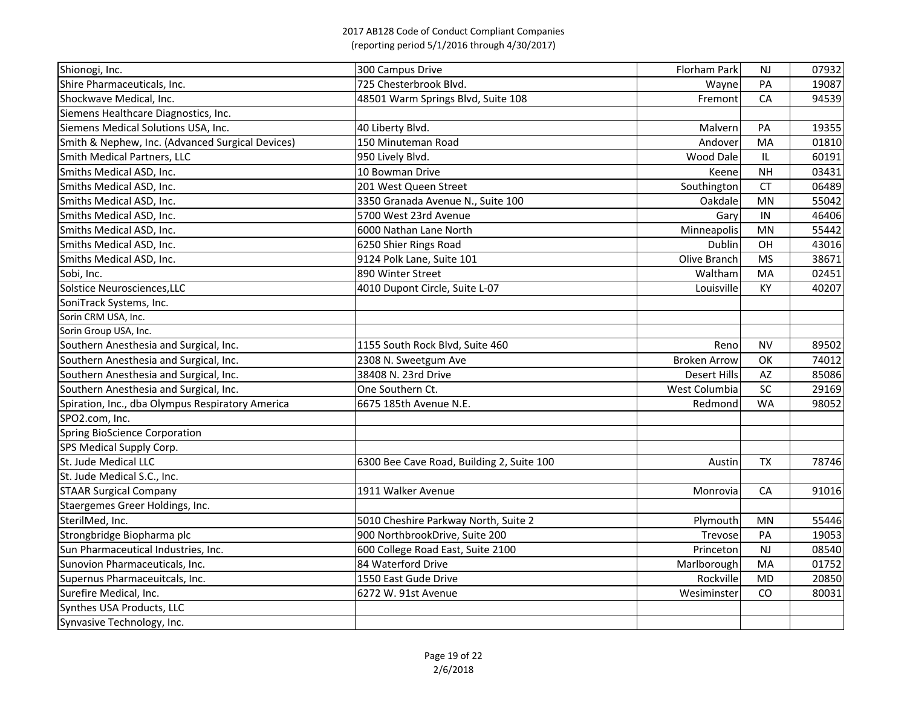| Shionogi, Inc.                                   | 300 Campus Drive                          | <b>Florham Park</b> | <b>NJ</b> | 07932 |
|--------------------------------------------------|-------------------------------------------|---------------------|-----------|-------|
| Shire Pharmaceuticals, Inc.                      | 725 Chesterbrook Blvd.                    | Wayne               | PA        | 19087 |
| Shockwave Medical, Inc.                          | 48501 Warm Springs Blvd, Suite 108        | Fremont             | CA        | 94539 |
| Siemens Healthcare Diagnostics, Inc.             |                                           |                     |           |       |
| Siemens Medical Solutions USA, Inc.              | 40 Liberty Blvd.                          | Malvern             | PA        | 19355 |
| Smith & Nephew, Inc. (Advanced Surgical Devices) | 150 Minuteman Road                        | Andover             | MA        | 01810 |
| Smith Medical Partners, LLC                      | 950 Lively Blvd.                          | Wood Dale           | IL.       | 60191 |
| Smiths Medical ASD, Inc.                         | 10 Bowman Drive                           | Keene               | <b>NH</b> | 03431 |
| Smiths Medical ASD, Inc.                         | 201 West Queen Street                     | Southington         | <b>CT</b> | 06489 |
| Smiths Medical ASD, Inc.                         | 3350 Granada Avenue N., Suite 100         | Oakdale             | <b>MN</b> | 55042 |
| Smiths Medical ASD, Inc.                         | 5700 West 23rd Avenue                     | Gary                | IN        | 46406 |
| Smiths Medical ASD, Inc.                         | 6000 Nathan Lane North                    | Minneapolis         | <b>MN</b> | 55442 |
| Smiths Medical ASD, Inc.                         | 6250 Shier Rings Road                     | Dublin              | OH        | 43016 |
| Smiths Medical ASD, Inc.                         | 9124 Polk Lane, Suite 101                 | Olive Branch        | <b>MS</b> | 38671 |
| Sobi, Inc.                                       | 890 Winter Street                         | Waltham             | MA        | 02451 |
| Solstice Neurosciences, LLC                      | 4010 Dupont Circle, Suite L-07            | Louisville          | KY        | 40207 |
| SoniTrack Systems, Inc.                          |                                           |                     |           |       |
| Sorin CRM USA, Inc.                              |                                           |                     |           |       |
| Sorin Group USA, Inc.                            |                                           |                     |           |       |
| Southern Anesthesia and Surgical, Inc.           | 1155 South Rock Blvd, Suite 460           | Reno                | <b>NV</b> | 89502 |
| Southern Anesthesia and Surgical, Inc.           | 2308 N. Sweetgum Ave                      | <b>Broken Arrow</b> | OK        | 74012 |
| Southern Anesthesia and Surgical, Inc.           | 38408 N. 23rd Drive                       | <b>Desert Hills</b> | AZ        | 85086 |
| Southern Anesthesia and Surgical, Inc.           | One Southern Ct.                          | West Columbia       | <b>SC</b> | 29169 |
| Spiration, Inc., dba Olympus Respiratory America | 6675 185th Avenue N.E.                    | Redmond             | <b>WA</b> | 98052 |
| SPO2.com, Inc.                                   |                                           |                     |           |       |
| <b>Spring BioScience Corporation</b>             |                                           |                     |           |       |
| SPS Medical Supply Corp.                         |                                           |                     |           |       |
| St. Jude Medical LLC                             | 6300 Bee Cave Road, Building 2, Suite 100 | Austin              | <b>TX</b> | 78746 |
| St. Jude Medical S.C., Inc.                      |                                           |                     |           |       |
| <b>STAAR Surgical Company</b>                    | 1911 Walker Avenue                        | Monrovia            | CA        | 91016 |
| Staergemes Greer Holdings, Inc.                  |                                           |                     |           |       |
| SterilMed, Inc.                                  | 5010 Cheshire Parkway North, Suite 2      | Plymouth            | <b>MN</b> | 55446 |
| Strongbridge Biopharma plc                       | 900 NorthbrookDrive, Suite 200            | Trevose             | PA        | 19053 |
| Sun Pharmaceutical Industries, Inc.              | 600 College Road East, Suite 2100         | Princeton           | <b>NJ</b> | 08540 |
| Sunovion Pharmaceuticals, Inc.                   | 84 Waterford Drive                        | Marlborough         | MA        | 01752 |
| Supernus Pharmaceuitcals, Inc.                   | 1550 East Gude Drive                      | Rockville           | <b>MD</b> | 20850 |
| Surefire Medical, Inc.                           | 6272 W. 91st Avenue                       | Wesiminster         | CO        | 80031 |
| Synthes USA Products, LLC                        |                                           |                     |           |       |
| Synvasive Technology, Inc.                       |                                           |                     |           |       |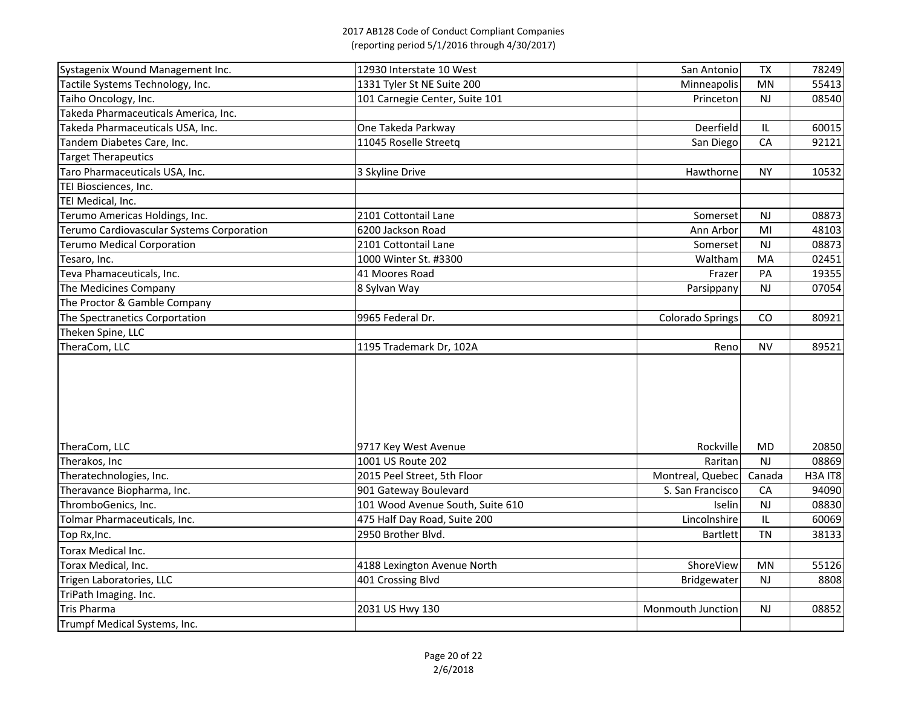| Systagenix Wound Management Inc.          | 12930 Interstate 10 West         | San Antonio       | <b>TX</b> | 78249                            |
|-------------------------------------------|----------------------------------|-------------------|-----------|----------------------------------|
| Tactile Systems Technology, Inc.          | 1331 Tyler St NE Suite 200       | Minneapolis       | <b>MN</b> | 55413                            |
| Taiho Oncology, Inc.                      | 101 Carnegie Center, Suite 101   | Princeton         | <b>NJ</b> | 08540                            |
| Takeda Pharmaceuticals America, Inc.      |                                  |                   |           |                                  |
| Takeda Pharmaceuticals USA, Inc.          | One Takeda Parkway               | Deerfield         | IL        | 60015                            |
| Tandem Diabetes Care, Inc.                | 11045 Roselle Streetq            | San Diego         | CA        | 92121                            |
| <b>Target Therapeutics</b>                |                                  |                   |           |                                  |
| Taro Pharmaceuticals USA, Inc.            | 3 Skyline Drive                  | Hawthorne         | <b>NY</b> | 10532                            |
| TEI Biosciences, Inc.                     |                                  |                   |           |                                  |
| TEI Medical, Inc.                         |                                  |                   |           |                                  |
| Terumo Americas Holdings, Inc.            | 2101 Cottontail Lane             | Somerset          | <b>NJ</b> | 08873                            |
| Terumo Cardiovascular Systems Corporation | 6200 Jackson Road                | Ann Arbor         | MI        | 48103                            |
| <b>Terumo Medical Corporation</b>         | 2101 Cottontail Lane             | Somerset          | <b>NJ</b> | 08873                            |
| Tesaro, Inc.                              | 1000 Winter St. #3300            | Waltham           | MA        | 02451                            |
| Teva Phamaceuticals, Inc.                 | 41 Moores Road                   | Frazer            | PA        | 19355                            |
| The Medicines Company                     | 8 Sylvan Way                     | Parsippany        | <b>NJ</b> | 07054                            |
| The Proctor & Gamble Company              |                                  |                   |           |                                  |
| The Spectranetics Corportation            | 9965 Federal Dr.                 | Colorado Springs  | CO        | 80921                            |
| Theken Spine, LLC                         |                                  |                   |           |                                  |
| TheraCom, LLC                             | 1195 Trademark Dr, 102A          | Reno              | <b>NV</b> | 89521                            |
|                                           |                                  |                   |           |                                  |
| TheraCom, LLC                             | 9717 Key West Avenue             | Rockville         | <b>MD</b> | 20850                            |
| Therakos, Inc                             | 1001 US Route 202                | Raritan           | <b>NJ</b> | 08869                            |
| Theratechnologies, Inc.                   | 2015 Peel Street, 5th Floor      | Montreal, Quebec  | Canada    | H <sub>3</sub> A IT <sub>8</sub> |
| Theravance Biopharma, Inc.                | 901 Gateway Boulevard            | S. San Francisco  | CA        | 94090                            |
| ThromboGenics, Inc.                       | 101 Wood Avenue South, Suite 610 | Iselin            | <b>NJ</b> | 08830                            |
| Tolmar Pharmaceuticals, Inc.              | 475 Half Day Road, Suite 200     | Lincolnshire      | IL        | 60069                            |
| Top Rx, Inc.                              | 2950 Brother Blvd.               | <b>Bartlett</b>   | <b>TN</b> | 38133                            |
| Torax Medical Inc.                        |                                  |                   |           |                                  |
| Torax Medical, Inc.                       | 4188 Lexington Avenue North      | ShoreView         | MN        | 55126                            |
| Trigen Laboratories, LLC                  | 401 Crossing Blvd                | Bridgewater       | NJ        | 8808                             |
| TriPath Imaging. Inc.                     |                                  |                   |           |                                  |
| Tris Pharma                               | 2031 US Hwy 130                  | Monmouth Junction | <b>NJ</b> | 08852                            |
| Trumpf Medical Systems, Inc.              |                                  |                   |           |                                  |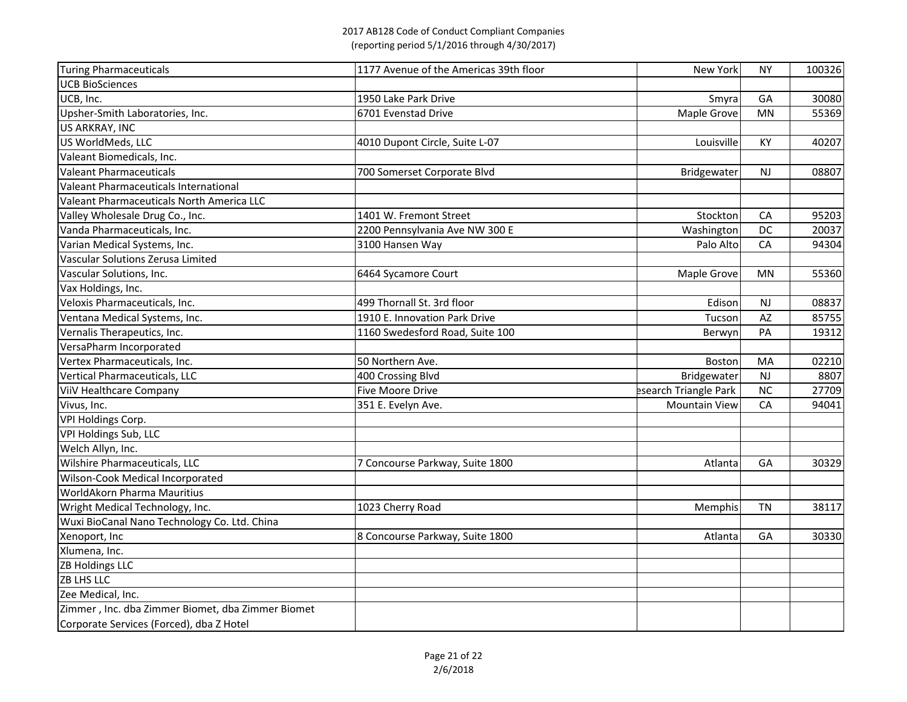| Turing Pharmaceuticals                            | 1177 Avenue of the Americas 39th floor | <b>New York</b>       | <b>NY</b> | 100326 |
|---------------------------------------------------|----------------------------------------|-----------------------|-----------|--------|
| <b>UCB BioSciences</b>                            |                                        |                       |           |        |
| UCB, Inc.                                         | 1950 Lake Park Drive                   | Smyral                | GA        | 30080  |
| Upsher-Smith Laboratories, Inc.                   | 6701 Evenstad Drive                    | Maple Grove           | <b>MN</b> | 55369  |
| US ARKRAY, INC                                    |                                        |                       |           |        |
| US WorldMeds, LLC                                 | 4010 Dupont Circle, Suite L-07         | Louisville            | <b>KY</b> | 40207  |
| Valeant Biomedicals, Inc.                         |                                        |                       |           |        |
| <b>Valeant Pharmaceuticals</b>                    | 700 Somerset Corporate Blvd            | <b>Bridgewater</b>    | <b>NJ</b> | 08807  |
| Valeant Pharmaceuticals International             |                                        |                       |           |        |
| Valeant Pharmaceuticals North America LLC         |                                        |                       |           |        |
| Valley Wholesale Drug Co., Inc.                   | 1401 W. Fremont Street                 | Stockton              | CA        | 95203  |
| Vanda Pharmaceuticals, Inc.                       | 2200 Pennsylvania Ave NW 300 E         | Washington            | DC        | 20037  |
| Varian Medical Systems, Inc.                      | 3100 Hansen Way                        | Palo Alto             | CA        | 94304  |
| Vascular Solutions Zerusa Limited                 |                                        |                       |           |        |
| Vascular Solutions, Inc.                          | 6464 Sycamore Court                    | Maple Grove           | <b>MN</b> | 55360  |
| Vax Holdings, Inc.                                |                                        |                       |           |        |
| Veloxis Pharmaceuticals, Inc.                     | 499 Thornall St. 3rd floor             | Edison                | <b>NJ</b> | 08837  |
| Ventana Medical Systems, Inc.                     | 1910 E. Innovation Park Drive          | Tucson                | AZ        | 85755  |
| Vernalis Therapeutics, Inc.                       | 1160 Swedesford Road, Suite 100        | Berwyn                | PA        | 19312  |
| VersaPharm Incorporated                           |                                        |                       |           |        |
| Vertex Pharmaceuticals, Inc.                      | 50 Northern Ave.                       | <b>Boston</b>         | MA        | 02210  |
| Vertical Pharmaceuticals, LLC                     | 400 Crossing Blvd                      | Bridgewater           | <b>NJ</b> | 8807   |
| ViiV Healthcare Company                           | <b>Five Moore Drive</b>                | esearch Triangle Park | <b>NC</b> | 27709  |
| Vivus, Inc.                                       | 351 E. Evelyn Ave.                     | <b>Mountain View</b>  | CA        | 94041  |
| <b>VPI Holdings Corp.</b>                         |                                        |                       |           |        |
| VPI Holdings Sub, LLC                             |                                        |                       |           |        |
| Welch Allyn, Inc.                                 |                                        |                       |           |        |
| <b>Wilshire Pharmaceuticals, LLC</b>              | 7 Concourse Parkway, Suite 1800        | Atlanta               | GA        | 30329  |
| Wilson-Cook Medical Incorporated                  |                                        |                       |           |        |
| <b>WorldAkorn Pharma Mauritius</b>                |                                        |                       |           |        |
| Wright Medical Technology, Inc.                   | 1023 Cherry Road                       | Memphis               | <b>TN</b> | 38117  |
| Wuxi BioCanal Nano Technology Co. Ltd. China      |                                        |                       |           |        |
| Xenoport, Inc                                     | 8 Concourse Parkway, Suite 1800        | Atlanta               | GA        | 30330  |
| Xlumena, Inc.                                     |                                        |                       |           |        |
| <b>ZB Holdings LLC</b>                            |                                        |                       |           |        |
| <b>ZB LHS LLC</b>                                 |                                        |                       |           |        |
| Zee Medical, Inc.                                 |                                        |                       |           |        |
| Zimmer, Inc. dba Zimmer Biomet, dba Zimmer Biomet |                                        |                       |           |        |
| Corporate Services (Forced), dba Z Hotel          |                                        |                       |           |        |